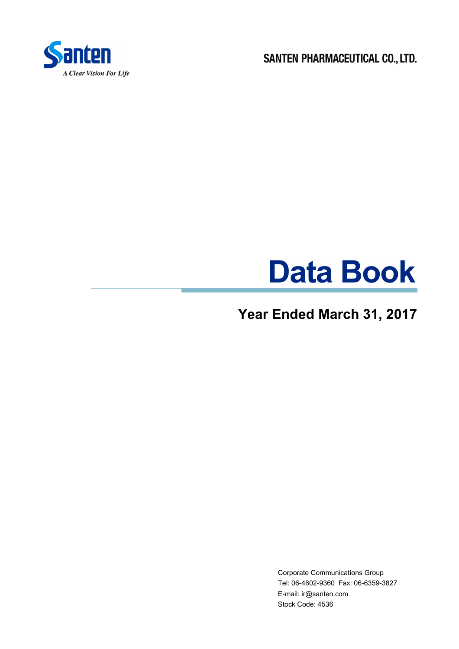

SANTEN PHARMACEUTICAL CO., LTD.

# **Data Book**

# **Year Ended March 31, 2017**

Corporate Communications Group Tel: 06-4802-9360 Fax: 06-6359-3827 E-mail: ir@santen.com Stock Code: 4536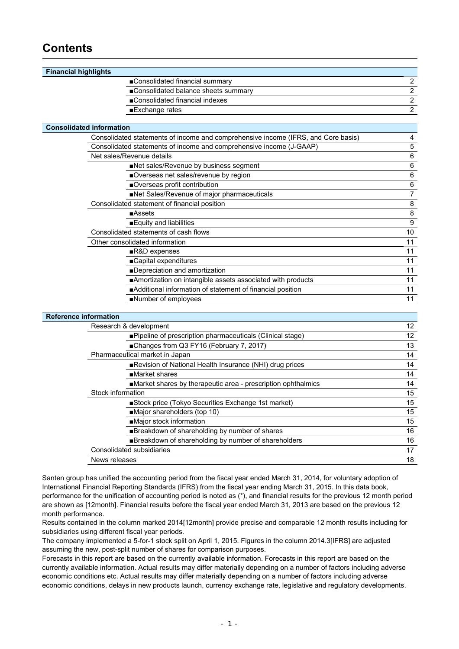### **Contents**

| <b>Financial highlights</b>     |                                                                                   |                  |
|---------------------------------|-----------------------------------------------------------------------------------|------------------|
|                                 | ■Consolidated financial summary                                                   | $\mathbf{2}$     |
|                                 | Consolidated balance sheets summary                                               | $\overline{2}$   |
|                                 | ■Consolidated financial indexes                                                   | $\overline{2}$   |
|                                 | Exchange rates                                                                    | $\overline{2}$   |
|                                 |                                                                                   |                  |
| <b>Consolidated information</b> |                                                                                   |                  |
|                                 | Consolidated statements of income and comprehensive income (IFRS, and Core basis) | 4                |
|                                 | Consolidated statements of income and comprehensive income (J-GAAP)               | 5                |
|                                 | Net sales/Revenue details                                                         | 6                |
|                                 | Net sales/Revenue by business segment                                             | $\,6\,$          |
|                                 | Overseas net sales/revenue by region                                              | 6                |
|                                 | Overseas profit contribution                                                      | 6                |
|                                 | Net Sales/Revenue of major pharmaceuticals                                        | $\boldsymbol{7}$ |
|                                 | Consolidated statement of financial position                                      | $\bf 8$          |
|                                 | $\blacksquare$ Assets                                                             | 8                |
|                                 | Equity and liabilities                                                            | $\boldsymbol{9}$ |
|                                 | Consolidated statements of cash flows                                             | 10               |
|                                 | Other consolidated information                                                    | 11               |
|                                 | R&D expenses                                                                      | 11               |
|                                 | ■Capital expenditures                                                             | 11               |
|                                 | ■Depreciation and amortization                                                    | 11               |
|                                 | Amortization on intangible assets associated with products                        | 11               |
|                                 | Additional information of statement of financial position                         | 11               |
|                                 | Number of employees                                                               | 11               |
|                                 |                                                                                   |                  |
| <b>Reference information</b>    |                                                                                   |                  |
|                                 | Research & development                                                            | 12               |
|                                 | ■Pipeline of prescription pharmaceuticals (Clinical stage)                        | 12               |
|                                 | ■Changes from Q3 FY16 (February 7, 2017)                                          | 13               |
|                                 | Pharmaceutical market in Japan                                                    | 14               |
|                                 | Revision of National Health Insurance (NHI) drug prices                           | 14               |
|                                 | Market shares                                                                     | 14               |
|                                 | Market shares by therapeutic area - prescription ophthalmics                      | 14               |
| Stock information               |                                                                                   | 15               |
|                                 | Stock price (Tokyo Securities Exchange 1st market)                                | 15               |
|                                 | Major shareholders (top 10)                                                       | 15               |
|                                 | Major stock information                                                           | 15               |
|                                 | Breakdown of shareholding by number of shares                                     | 16               |

■Breakdown of shareholding by number of shareholders 16 Consolidated subsidiaries **17** and 200 million and 200 million and 200 million and 200 million and 200 million and 200 million and 200 million and 200 million and 200 million and 200 million and 200 million and 200 million News releases 18

Santen group has unified the accounting period from the fiscal year ended March 31, 2014, for voluntary adoption of International Financial Reporting Standards (IFRS) from the fiscal year ending March 31, 2015. In this data book, performance for the unification of accounting period is noted as (\*), and financial results for the previous 12 month period are shown as [12month]. Financial results before the fiscal year ended March 31, 2013 are based on the previous 12 month performance.

Results contained in the column marked 2014[12month] provide precise and comparable 12 month results including for subsidiaries using different fiscal year periods.

The company implemented a 5-for-1 stock split on April 1, 2015. Figures in the column 2014.3[IFRS] are adjusted assuming the new, post-split number of shares for comparison purposes.

Forecasts in this report are based on the currently available information. Forecasts in this report are based on the currently available information. Actual results may differ materially depending on a number of factors including adverse economic conditions etc. Actual results may differ materially depending on a number of factors including adverse economic conditions, delays in new products launch, currency exchange rate, legislative and regulatory developments.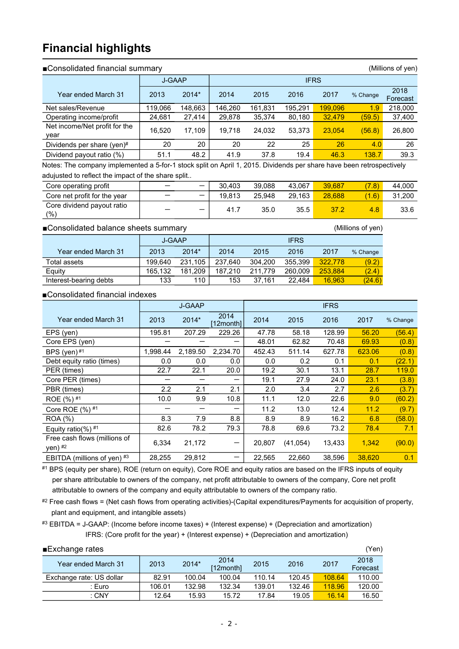### **Financial highlights**

### ■Consolidated financial summary (Millions of yen)

|                                       | <b>J-GAAP</b> |         |         |         |         |         |          |                  |
|---------------------------------------|---------------|---------|---------|---------|---------|---------|----------|------------------|
| Year ended March 31                   | 2013          | 2014*   | 2014    | 2015    | 2016    | 2017    | % Change | 2018<br>Forecast |
| Net sales/Revenue                     | 119,066       | 148.663 | 146.260 | 161,831 | 195.291 | 199,096 | 1.9      | 218,000          |
| Operating income/profit               | 24,681        | 27,414  | 29,878  | 35,374  | 80,180  | 32,479  | (59.5)   | 37,400           |
| Net income/Net profit for the<br>year | 16.520        | 17.109  | 19.718  | 24.032  | 53.373  | 23.054  | (56.8)   | 26,800           |
| Dividends per share (yen)#            | 20            | 20      | 20      | 22      | 25      | 26      | 4.0      | 26               |
| Dividend payout ratio (%)             | 51.1          | 48.2    | 41.9    | 37.8    | 19.4    | 46.3    | 138.7    | 39.3             |

Notes: The company implemented a 5-for-1 stock split on April 1, 2015. Dividends per share have been retrospectively adujusted to reflect the impact of the share split..

| Core operating profit             | $\overline{\phantom{0}}$ | 30.403 | 39.088 | 43.067 | 39.687 | 7.8   | 44.000 |
|-----------------------------------|--------------------------|--------|--------|--------|--------|-------|--------|
| Core net profit for the year      | $\overline{\phantom{0}}$ | 19.813 | 25.948 | 29.163 | 28.688 | (1.6) | 31.200 |
| Core dividend payout ratio<br>(%) | $\overline{\phantom{0}}$ | 41.7   | 35.0   | 35.5   | 37.2   | 4.8   | 33.6   |

### ■Consolidated balance sheets summary (Millions of yen)

|                        | J-GAAP  |         |         |         |         |         |          |
|------------------------|---------|---------|---------|---------|---------|---------|----------|
| Year ended March 31    | 2013    | 2014*   | 2014    | 2015    | 2016    | 2017    | % Change |
| Total assets           | 199.640 | 231.105 | 237.640 | 304.200 | 355.399 | 322,778 | (9.2)    |
| Equity                 | 165.132 | 181.209 | 187.210 | 211.779 | 260.009 | 253.884 | (2.4)    |
| Interest-bearing debts | 133     | 110     | 153     | 37.161  | 22.484  | 16.963  | (24.6)   |

### ■Consolidated financial indexes

|                                         | <b>J-GAAP</b> |          |                  |        |           |        |        |          |
|-----------------------------------------|---------------|----------|------------------|--------|-----------|--------|--------|----------|
| Year ended March 31                     | 2013          | 2014*    | 2014<br>12month] | 2014   | 2015      | 2016   | 2017   | % Change |
| EPS (yen)                               | 195.81        | 207.29   | 229.26           | 47.78  | 58.18     | 128.99 | 56.20  | (56.4)   |
| Core EPS (yen)                          |               |          |                  | 48.01  | 62.82     | 70.48  | 69.93  | (0.8)    |
| BPS (yen) <sup>#1</sup>                 | 1.998.44      | 2,189.50 | 2.234.70         | 452.43 | 511.14    | 627.78 | 623.06 | (0.8)    |
| Debt equity ratio (times)               | 0.0           | 0.0      | 0.0              | 0.0    | 0.2       | 0.1    | 0.1    | (22.1)   |
| PER (times)                             | 22.7          | 22.1     | 20.0             | 19.2   | 30.1      | 13.1   | 28.7   | 119.0    |
| Core PER (times)                        |               |          |                  | 19.1   | 27.9      | 24.0   | 23.1   | (3.8)    |
| PBR (times)                             | 2.2           | 2.1      | 2.1              | 2.0    | 3.4       | 2.7    | 2.6    | (3.7)    |
| ROE $(%)$ #1                            | 10.0          | 9.9      | 10.8             | 11.1   | 12.0      | 22.6   | 9.0    | (60.2)   |
| Core ROE $(%)$ #1                       |               |          |                  | 11.2   | 13.0      | 12.4   | 11.2   | (9.7)    |
| <b>ROA</b> (%)                          | 8.3           | 7.9      | 8.8              | 8.9    | 8.9       | 16.2   | 6.8    | (58.0)   |
| Equity ratio(%) $#1$                    | 82.6          | 78.2     | 79.3             | 78.8   | 69.6      | 73.2   | 78.4   | 7.1      |
| Free cash flows (millions of<br>yen) #2 | 6,334         | 21,172   | -                | 20.807 | (41, 054) | 13,433 | 1,342  | (90.0)   |
| EBITDA (millions of yen) $#3$           | 28,255        | 29,812   | -                | 22,565 | 22,660    | 38,596 | 38,620 | 0.1      |

#1 BPS (equity per share), ROE (return on equity), Core ROE and equity ratios are based on the IFRS inputs of equity per share attributable to owners of the company, net profit attributable to owners of the company, Core net profit attributable to owners of the company and equity attributable to owners of the company ratio.

#2 Free cash flows = (Net cash flows from operating activities)-(Capital expenditures/Payments for acquisition of property, plant and equipment, and intangible assets)

#3 EBITDA = J-GAAP: (Income before income taxes) + (Interest expense) + (Depreciation and amortization) IFRS: (Core profit for the year) + (Interest expense) + (Depreciation and amortization)

| ■Exchange rates          |        |        |                   |        |        |        | (Yen)            |
|--------------------------|--------|--------|-------------------|--------|--------|--------|------------------|
| Year ended March 31      | 2013   | 2014*  | 2014<br>[12month] | 2015   | 2016   | 2017   | 2018<br>Forecast |
| Exchange rate: US dollar | 82.91  | 100.04 | 100.04            | 110.14 | 120.45 | 108.64 | 110.00           |
| : Euro                   | 106.01 | 132.98 | 132.34            | 139.01 | 132.46 | 118.96 | 120.00           |
| $:$ CNY                  | 12.64  | 15.93  | 15.72             | 17.84  | 19.05  | 16.14  | 16.50            |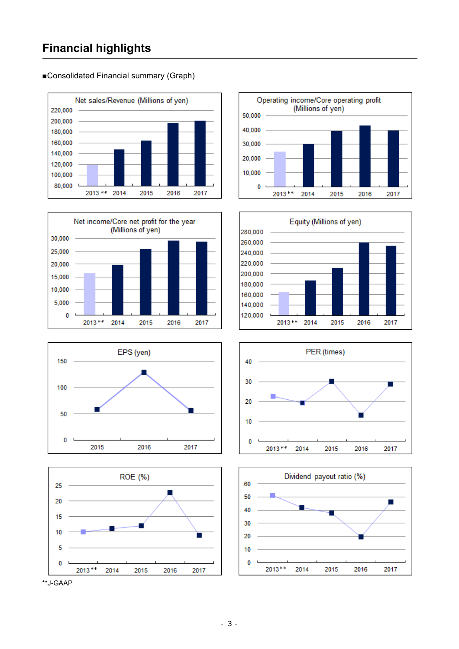### **Financial highlights**

Net sales/Revenue (Millions of yen) 220,000 200,000 180,000 160,000 140,000 120,000 100,000 80,000 2013 \*\* 2014 2015 2016 2017















■Consolidated Financial summary (Graph)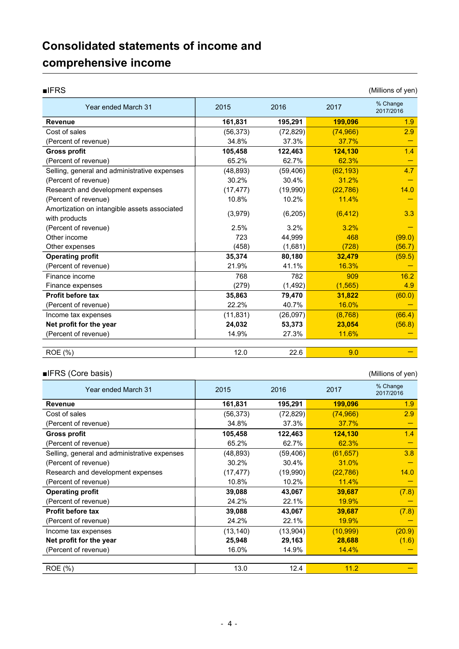## **Consolidated statements of income and comprehensive income**

| $I$ FRS                                                       |           |           |           | (Millions of yen)     |
|---------------------------------------------------------------|-----------|-----------|-----------|-----------------------|
| Year ended March 31                                           | 2015      | 2016      | 2017      | % Change<br>2017/2016 |
| <b>Revenue</b>                                                | 161,831   | 195,291   | 199,096   | 1.9                   |
| Cost of sales                                                 | (56, 373) | (72, 829) | (74,966)  | 2.9                   |
| (Percent of revenue)                                          | 34.8%     | 37.3%     | 37.7%     |                       |
| <b>Gross profit</b>                                           | 105,458   | 122,463   | 124,130   | 1.4                   |
| (Percent of revenue)                                          | 65.2%     | 62.7%     | 62.3%     |                       |
| Selling, general and administrative expenses                  | (48, 893) | (59, 406) | (62, 193) | 4.7                   |
| (Percent of revenue)                                          | 30.2%     | 30.4%     | 31.2%     |                       |
| Research and development expenses                             | (17, 477) | (19,990)  | (22, 786) | 14.0                  |
| (Percent of revenue)                                          | 10.8%     | 10.2%     | 11.4%     |                       |
| Amortization on intangible assets associated<br>with products | (3,979)   | (6, 205)  | (6, 412)  | 3.3                   |
| (Percent of revenue)                                          | 2.5%      | 3.2%      | 3.2%      |                       |
| Other income                                                  | 723       | 44,999    | 468       | (99.0)                |
| Other expenses                                                | (458)     | (1,681)   | (728)     | (56.7)                |
| <b>Operating profit</b>                                       | 35,374    | 80,180    | 32,479    | (59.5)                |
| (Percent of revenue)                                          | 21.9%     | 41.1%     | 16.3%     |                       |
| Finance income                                                | 768       | 782       | 909       | 16.2                  |
| Finance expenses                                              | (279)     | (1,492)   | (1, 565)  | 4.9                   |
| Profit before tax                                             | 35,863    | 79,470    | 31,822    | (60.0)                |
| (Percent of revenue)                                          | 22.2%     | 40.7%     | 16.0%     |                       |
| Income tax expenses                                           | (11, 831) | (26,097)  | (8,768)   | (66.4)                |
| Net profit for the year                                       | 24,032    | 53,373    | 23,054    | (56.8)                |
| (Percent of revenue)                                          | 14.9%     | 27.3%     | 11.6%     |                       |
| ROE (%)                                                       | 12.0      | 22.6      | 9.0       |                       |

### ■IFRS (Core basis) (Millions of yen)

| Year ended March 31                          | 2015      | 2016      | 2017      | % Change<br>2017/2016 |
|----------------------------------------------|-----------|-----------|-----------|-----------------------|
| <b>Revenue</b>                               | 161,831   | 195,291   | 199,096   | 1.9                   |
| Cost of sales                                | (56, 373) | (72, 829) | (74, 966) | 2.9                   |
| (Percent of revenue)                         | 34.8%     | 37.3%     | 37.7%     |                       |
| <b>Gross profit</b>                          | 105,458   | 122,463   | 124,130   | 1.4                   |
| (Percent of revenue)                         | 65.2%     | 62.7%     | 62.3%     |                       |
| Selling, general and administrative expenses | (48, 893) | (59, 406) | (61, 657) | 3.8                   |
| (Percent of revenue)                         | 30.2%     | 30.4%     | 31.0%     |                       |
| Research and development expenses            | (17, 477) | (19,990)  | (22, 786) | 14.0                  |
| (Percent of revenue)                         | 10.8%     | 10.2%     | 11.4%     |                       |
| <b>Operating profit</b>                      | 39,088    | 43,067    | 39,687    | (7.8)                 |
| (Percent of revenue)                         | 24.2%     | 22.1%     | 19.9%     |                       |
| <b>Profit before tax</b>                     | 39,088    | 43,067    | 39,687    | (7.8)                 |
| (Percent of revenue)                         | 24.2%     | 22.1%     | 19.9%     |                       |
| Income tax expenses                          | (13, 140) | (13,904)  | (10, 999) | (20.9)                |
| Net profit for the year                      | 25,948    | 29,163    | 28,688    | (1.6)                 |
| (Percent of revenue)                         | 16.0%     | 14.9%     | 14.4%     |                       |
|                                              |           |           |           |                       |
| ROE (%)                                      | 13.0      | 12.4      | 11.2      |                       |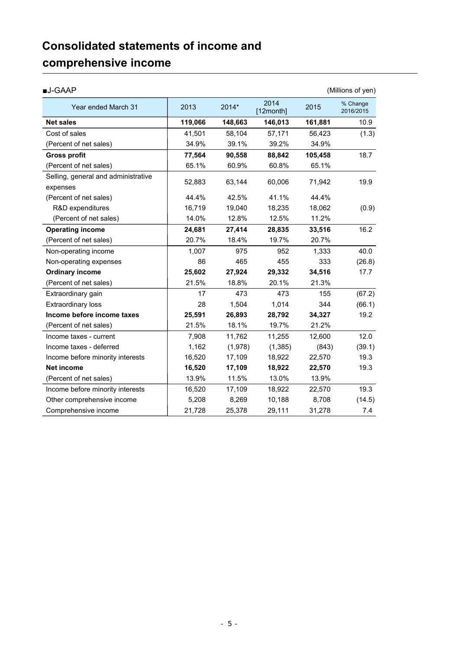### **Consolidated statements of income and comprehensive income**

| <b>■J-GAAP</b>                                  |         |         |                   |         | (Millions of yen)     |
|-------------------------------------------------|---------|---------|-------------------|---------|-----------------------|
| Year ended March 31                             | 2013    | 2014*   | 2014<br>[12month] | 2015    | % Change<br>2016/2015 |
| <b>Net sales</b>                                | 119,066 | 148,663 | 146,013           | 161,881 | 10.9                  |
| Cost of sales                                   | 41.501  | 58,104  | 57,171            | 56,423  | (1.3)                 |
| (Percent of net sales)                          | 34.9%   | 39.1%   | 39.2%             | 34.9%   |                       |
| <b>Gross profit</b>                             | 77,564  | 90,558  | 88,842            | 105,458 | 18.7                  |
| (Percent of net sales)                          | 65.1%   | 60.9%   | 60.8%             | 65.1%   |                       |
| Selling, general and administrative<br>expenses | 52,883  | 63,144  | 60,006            | 71,942  | 19.9                  |
| (Percent of net sales)                          | 44.4%   | 42.5%   | 41.1%             | 44.4%   |                       |
| R&D expenditures                                | 16,719  | 19,040  | 18,235            | 18,062  | (0.9)                 |
| (Percent of net sales)                          | 14.0%   | 12.8%   | 12.5%             | 11.2%   |                       |
| <b>Operating income</b>                         | 24,681  | 27,414  | 28,835            | 33,516  | 16.2                  |
| (Percent of net sales)                          | 20.7%   | 18.4%   | 19.7%             | 20.7%   |                       |
| Non-operating income                            | 1,007   | 975     | 952               | 1,333   | 40.0                  |
| Non-operating expenses                          | 86      | 465     | 455               | 333     | (26.8)                |
| <b>Ordinary income</b>                          | 25,602  | 27,924  | 29,332            | 34,516  | 17.7                  |
| (Percent of net sales)                          | 21.5%   | 18.8%   | 20.1%             | 21.3%   |                       |
| Extraordinary gain                              | 17      | 473     | 473               | 155     | (67.2)                |
| <b>Extraordinary loss</b>                       | 28      | 1,504   | 1,014             | 344     | (66.1)                |
| Income before income taxes                      | 25,591  | 26,893  | 28,792            | 34,327  | 19.2                  |
| (Percent of net sales)                          | 21.5%   | 18.1%   | 19.7%             | 21.2%   |                       |
| Income taxes - current                          | 7,908   | 11,762  | 11,255            | 12,600  | 12.0                  |
| Income taxes - deferred                         | 1,162   | (1,978) | (1,385)           | (843)   | (39.1)                |
| Income before minority interests                | 16,520  | 17,109  | 18,922            | 22,570  | 19.3                  |
| Net income                                      | 16,520  | 17,109  | 18,922            | 22,570  | 19.3                  |
| (Percent of net sales)                          | 13.9%   | 11.5%   | 13.0%             | 13.9%   |                       |
| Income before minority interests                | 16,520  | 17,109  | 18,922            | 22,570  | 19.3                  |
| Other comprehensive income                      | 5,208   | 8,269   | 10,188            | 8,708   | (14.5)                |
| Comprehensive income                            | 21,728  | 25,378  | 29,111            | 31,278  | 7.4                   |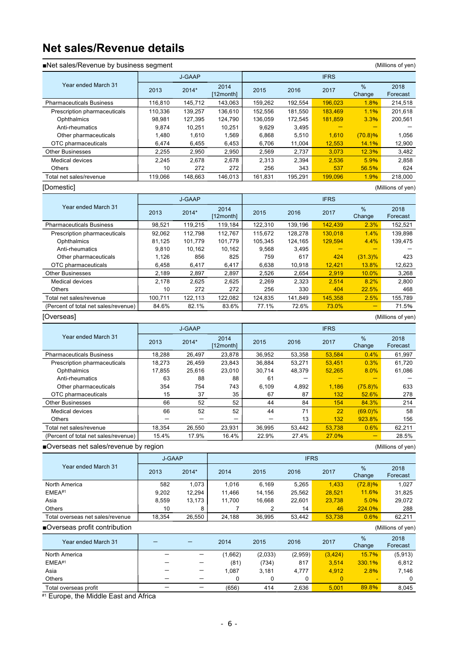### **Net sales/Revenue details**

| Net sales/Revenue by business segment |               |                          |                   |              |              |              |               | (Millions of yen)                        |
|---------------------------------------|---------------|--------------------------|-------------------|--------------|--------------|--------------|---------------|------------------------------------------|
|                                       |               | <b>J-GAAP</b>            |                   |              |              | <b>IFRS</b>  |               |                                          |
| Year ended March 31                   | 2013          | 2014*                    | 2014<br>[12month] | 2015         | 2016         | 2017         | %<br>Change   | 2018<br>Forecast                         |
| <b>Pharmaceuticals Business</b>       | 116,810       | 145,712                  | 143,063           | 159,262      | 192,554      | 196,023      | 1.8%          | 214,518                                  |
| Prescription pharmaceuticals          | 110,336       | 139,257                  | 136,610           | 152,556      | 181,550      | 183,469      | 1.1%          | 201,618                                  |
| Ophthalmics                           | 98,981        | 127,395                  | 124,790           | 136,059      | 172,545      | 181,859      | 3.3%          | 200,561                                  |
| Anti-rheumatics                       | 9,874         | 10,251                   | 10,251            | 9,629        | 3,495        |              |               |                                          |
| Other pharmaceuticals                 | 1,480         | 1,610                    | 1,569             | 6,868        | 5,510        | 1,610        | (70.8)%       | 1,056                                    |
| OTC pharmaceuticals                   | 6,474         | 6,455                    | 6,453             | 6,706        | 11,004       | 12,553       | 14.1%         | 12,900                                   |
| <b>Other Businesses</b>               | 2,255         | 2,950                    | 2,950             | 2,569        | 2,737        | 3.073        | 12.3%         | 3,482                                    |
| Medical devices<br>Others             | 2,245<br>10   | 2,678<br>272             | 2,678<br>272      | 2,313<br>256 | 2,394<br>343 | 2,536<br>537 | 5.9%<br>56.5% | 2,858<br>624                             |
| Total net sales/revenue               | 119,066       | 148,663                  | 146,013           | 161,831      | 195,291      | 199,096      | 1.9%          | 218,000                                  |
| [Domestic]                            |               |                          |                   |              |              |              |               | (Millions of yen)                        |
|                                       |               | <b>J-GAAP</b>            |                   |              |              | <b>IFRS</b>  |               |                                          |
| Year ended March 31                   | 2013          | 2014*                    | 2014<br>[12month] | 2015         | 2016         | 2017         | %<br>Change   | 2018<br>Forecast                         |
| <b>Pharmaceuticals Business</b>       | 98,521        | 119,215                  | 119,184           | 122,310      | 139,196      | 142,439      | 2.3%          | 152,521                                  |
| Prescription pharmaceuticals          | 92,062        | 112,798                  | 112,767           | 115.672      | 128,278      | 130,018      | 1.4%          | 139.898                                  |
| Ophthalmics                           | 81,125        | 101,779                  | 101,779           | 105,345      | 124,165      | 129,594      | 4.4%          | 139,475                                  |
| Anti-rheumatics                       | 9,810         | 10,162                   | 10,162            | 9,568        | 3,495        |              | ÷             |                                          |
| Other pharmaceuticals                 | 1,126         | 856                      | 825               | 759          | 617          | 424          | $(31.3)\%$    | 423                                      |
| OTC pharmaceuticals                   | 6,458         | 6,417                    | 6,417             | 6,638        | 10,918       | 12,421       | 13.8%         | 12,623                                   |
| <b>Other Businesses</b>               | 2,189         | 2,897                    | 2,897             | 2,526        | 2,654        | 2,919        | 10.0%         | 3,268                                    |
| <b>Medical devices</b>                | 2,178         | 2,625                    | 2,625             | 2,269        | 2,323        | 2,514        | 8.2%          | 2,800                                    |
| Others                                | 10            | 272                      | 272               | 256          | 330          | 404          | 22.5%         | 468                                      |
| Total net sales/revenue               | 100,711       | 122,113                  | 122,082           | 124,835      | 141,849      | 145,358      | 2.5%          | 155,789                                  |
| (Percent of total net sales/revenue)  | 84.6%         | 82.1%                    | 83.6%             | 77.1%        | 72.6%        | 73.0%        | ÷             | 71.5%                                    |
| [Overseas]                            |               |                          |                   |              |              |              |               | (Millions of yen)                        |
|                                       |               | <b>J-GAAP</b>            |                   |              |              | <b>IFRS</b>  |               |                                          |
| Year ended March 31                   | 2013          | 2014*                    | 2014<br>[12month] | 2015         | 2016         | 2017         | %<br>Change   | 2018<br>Forecast                         |
| <b>Pharmaceuticals Business</b>       | 18,288        | 26,497                   | 23,878            | 36,952       | 53,358       | 53,584       | 0.4%          | 61,997                                   |
| Prescription pharmaceuticals          | 18,273        | 26,459                   | 23,843            | 36,884       | 53,271       | 53,451       | 0.3%          | 61,720                                   |
| Ophthalmics                           | 17,855        | 25,616                   | 23,010            | 30,714       | 48,379       | 52,265       | 8.0%          | 61,086                                   |
| Anti-rheumatics                       | 63            | 88                       | 88                | 61           |              |              |               |                                          |
| Other pharmaceuticals                 | 354           | 754                      | 743               | 6,109        | 4,892        | 1,186        | (75.8)%       | 633                                      |
| OTC pharmaceuticals                   | 15            | 37                       | 35                | 67           | 87           | 132          | 52.6%         | 278                                      |
| <b>Other Businesses</b>               | 66            | 52                       | 52                | 44           | 84           | 154          | 84.3%         | 214                                      |
| <b>Medical devices</b>                | 66            | 52                       | 52                | 44           | 71           | 22           | $(69.0)\%$    | 58                                       |
| Others                                |               |                          |                   |              | 13           | 132          | 923.8%        | 156                                      |
| Total net sales/revenue               | 18,354        | 26,550                   | 23,931            | 36,995       | 53,442       | 53,738       | 0.6%          | 62,211                                   |
| (Percent of total net sales/revenue)  | 15.4%         | 17.9%                    | 16.4%             | 22.9%        | 27.4%        | 27.0%        | ÷             | 28.5%                                    |
| ■Overseas net sales/revenue by region |               |                          |                   |              |              |              |               | (Millions of yen)                        |
|                                       | <b>J-GAAP</b> |                          |                   |              | <b>IFRS</b>  |              |               |                                          |
| Year ended March 31                   | 2013          | 2014*                    | 2014              | 2015         | 2016         | 2017         | %<br>Change   | 2018<br>Forecast                         |
| North America                         | 582           | 1,073                    | 1,016             | 6,169        | 5,265        | 1,433        | (72.8)%       | 1,027                                    |
| $EMEA^{#1}$                           | 9,202         | 12,294                   | 11,466            | 14,156       | 25,562       | 28,521       | 11.6%         | 31,825                                   |
| Asia                                  | 8,559         | 13,173                   | 11,700            | 16,668       | 22,601       | 23,738       | 5.0%          | 29,072                                   |
| Others                                | 10            | 8                        | 7                 | 2            | 14           | 46           | 224.0%        | 288                                      |
| Total overseas net sales/revenue      | 18,354        | 26,550                   | 24,188            | 36,995       | 53,442       | 53,738       | 0.6%          | 62,211                                   |
| ■Overseas profit contribution         |               |                          |                   |              |              |              |               | (Millions of yen)                        |
| Year ended March 31                   |               |                          | 2014              | 2015         | 2016         | 2017         | %<br>Change   | 2018<br>Forecast                         |
|                                       |               |                          |                   |              |              |              |               |                                          |
|                                       |               |                          |                   |              |              |              |               |                                          |
| North America                         |               |                          | (1,662)           | (2,033)      | (2,959)      | (3, 424)     | 15.7%         |                                          |
| EMEA#1                                |               |                          | (81)              | (734)        | 817          | 3,514        | 330.1%        |                                          |
| Asia                                  |               | —                        | 1,087             | 3,181        | 4,777        | 4,912        | 2.8%          |                                          |
| Others<br>Total overseas profit       |               | $\overline{\phantom{0}}$ | 0<br>(656)        | 0<br>414     | 0<br>2,636   | 0<br>5,001   | 89.8%         | (5, 913)<br>6,812<br>7,146<br>0<br>8,045 |

Europe, the Middle East and Africa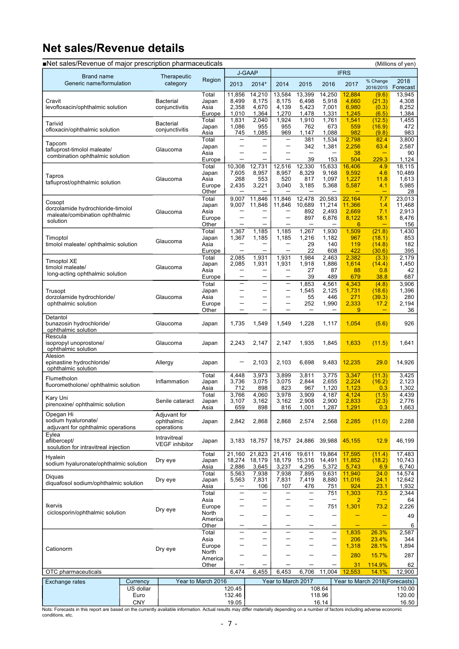### **Net sales/Revenue details**

| Net sales/Revenue of major prescription pharmaceuticals |                   |                         |                    |                                               |                                                      |                                    |                                                      |                          |                         |                               | (Millions of yen) |
|---------------------------------------------------------|-------------------|-------------------------|--------------------|-----------------------------------------------|------------------------------------------------------|------------------------------------|------------------------------------------------------|--------------------------|-------------------------|-------------------------------|-------------------|
|                                                         |                   |                         |                    |                                               | <b>J-GAAP</b>                                        |                                    |                                                      |                          | <b>IFRS</b>             |                               |                   |
| Brand name<br>Generic name/formulation                  |                   | Therapeutic<br>category | Region             | 2013                                          | 2014*                                                | 2014                               | 2015                                                 | 2016                     | 2017                    | % Change<br>2016/2015         | 2018<br>Forecast  |
|                                                         |                   |                         | Total              | 11,856                                        | 14,210                                               | 13,584                             | 13,399                                               | 14,250                   | 12,884                  | (9.6)                         | 13,945            |
| Cravit                                                  |                   | <b>Bacterial</b>        | Japan              | 8,499                                         | 8,175                                                | 8,175                              | 6,498                                                | 5,918                    | 4,660                   | (21.3)                        | 4.308             |
| levofloxacin/ophthalmic solution                        |                   | conjunctivitis          | Asia<br>Europe     | 2,358<br>1,010                                | 4,670<br>1,364                                       | 4,139<br>1,270                     | 5,423<br>1,478                                       | 7,001<br>1,331           | 6,980<br>1,245          | (0.3)<br>(6.5)                | 8,252<br>1,384    |
| Tarivid                                                 |                   | <b>Bacterial</b>        | Total              | 1,831                                         | 2,040                                                | 1,924                              | 1,910                                                | 1,761                    | 1,541                   | (12.5)                        | 1,455             |
| ofloxacin/ophthalmic solution                           |                   | conjunctivitis          | Japan              | 1,086                                         | 955                                                  | 955                                | 762                                                  | 673<br>1,088             | 559<br>982              | (16.9)                        | 472               |
|                                                         |                   |                         | Asia<br>Total      | 745<br>$\qquad \qquad -$                      | 1,085<br>$\overline{\phantom{m}}$                    | 969<br>-                           | 1,147<br>381                                         | 1,534                    | 2,798                   | (9.8)<br>82.4                 | 983<br>3,800      |
| Tapcom<br>tafluprost-timolol maleate/                   |                   | Glaucoma                | Japan              |                                               | $\overline{\phantom{0}}$                             | -                                  | 342                                                  | 1,381                    | 2,256                   | 63.4                          | 2,587             |
| combination ophthalmic solution                         |                   |                         | Asia               | $\overline{\phantom{0}}$                      |                                                      | —                                  | $\qquad \qquad -$                                    |                          | 38                      | -                             | 90                |
|                                                         |                   |                         | Europe<br>Total    | 10,308                                        | 12,731                                               | $\overline{\phantom{0}}$<br>12,516 | 39<br>12,330                                         | 153<br>15,633            | 504<br>16,406           | 229.3<br>4.9                  | 1,124<br>18,115   |
|                                                         |                   |                         | Japan              | 7,605                                         | 8,957                                                | 8,957                              | 8,329                                                | 9,168                    | 9,592                   | 4.6                           | 10,489            |
| Tapros<br>tafluprost/ophthalmic solution                |                   | Glaucoma                | Asia               | 268                                           | 553                                                  | 520                                | 817                                                  | 1,097                    | 1,227                   | 11.8                          | 1,613             |
|                                                         |                   |                         | Europe<br>Other    | 2,435                                         | 3,221                                                | 3,040                              | 3,185                                                | 5,368                    | 5,587                   | 4.1                           | 5,985<br>28       |
|                                                         |                   |                         | Total              | 9,007                                         | 11,846                                               | 11,846                             | 12,478                                               | 20,583                   | 22,164                  | 7.7                           | 23,013            |
| Cosopt<br>dorzolamide hydrochloride-timolol             |                   |                         | Japan              | 9,007                                         | 11,846                                               | 11,846                             | 10,689                                               | 11,214                   | 11,366                  | 1.4                           | 11,468            |
| maleate/combination ophthalmic                          |                   | Glaucoma                | Asia               |                                               | $\overline{\phantom{0}}$                             | $\overline{\phantom{0}}$           | 892                                                  | 2,493                    | 2.669                   | 7.1                           | 2,913             |
| solution                                                |                   |                         | Europe<br>Other    |                                               | -                                                    |                                    | 897                                                  | 6,876                    | 8,122<br>6              | 18.1                          | 8,476<br>156      |
|                                                         |                   |                         | Total              | 1,367                                         | 1,185                                                | 1,185                              | 1,267                                                | 1,930                    | 1,509                   | (21.8)                        | 1,430             |
| Timoptol                                                |                   | Glaucoma                | Japan              | 1,367                                         | 1,185                                                | 1,185                              | 1,216                                                | 1,182                    | 967                     | (18.1)                        | 853               |
| timolol maleate/ ophthalmic solution                    |                   |                         | Asia<br>Europe     | $\qquad \qquad -$                             | $\overline{\phantom{0}}$                             | -<br>-                             | 29<br>22                                             | 140<br>608               | 119<br>422              | (14.8)<br>(30.6)              | 182<br>395        |
|                                                         |                   |                         | Total              | 2,085                                         | 1,931                                                | 1,931                              | 1,984                                                | 2,463                    | 2.382                   | (3.3)                         | 2,179             |
| Timoptol XE<br>timolol maleate/                         |                   | Glaucoma                | Japan              | 2,085                                         | 1,931                                                | 1,931                              | 1,918                                                | 1,886                    | 1,614                   | (14.4)                        | 1,450             |
| long-acting ophthalmic solution                         |                   |                         | Asia<br>Europe     |                                               |                                                      |                                    | 27<br>39                                             | 87<br>489                | 88<br>679               | 0.8<br>38.8                   | 42<br>687         |
|                                                         |                   |                         | Total              |                                               | $\overline{\phantom{0}}$                             | $\overline{\phantom{0}}$           | 1,853                                                | 4,561                    | 4,343                   | (4.8)                         | 3,906             |
| Trusopt                                                 |                   |                         | Japan              | -                                             | -                                                    | —                                  | 1,545                                                | 2,125                    | 1,731                   | (18.6)                        | 1,396             |
| dorzolamide hydrochloride/                              |                   | Glaucoma                | Asia               | $\overline{\phantom{0}}$                      | $\overline{\phantom{0}}$                             | $\overline{\phantom{0}}$           | 55                                                   | 446                      | 271                     | (39.3)                        | 280               |
| ophthalmic solution                                     |                   |                         | Europe<br>Other    | —<br>-                                        | $\overline{\phantom{0}}$<br>$\overline{\phantom{0}}$ | -<br>—                             | 252<br>$\qquad \qquad -$                             | 1,990                    | 2,333<br>9              | 17.2<br>-                     | 2,194<br>36       |
| Detantol                                                |                   |                         |                    |                                               |                                                      |                                    |                                                      |                          |                         |                               |                   |
| bunazosin hydrochloride/                                |                   | Glaucoma                | Japan              | 1,735                                         | 1,549                                                | 1,549                              | 1,228                                                | 1,117                    | 1,054                   | (5.6)                         | 926               |
| ophthalmic solution<br>Rescula                          |                   |                         |                    |                                               |                                                      |                                    |                                                      |                          |                         |                               |                   |
| isopropyl unoprostone/                                  |                   | Glaucoma                | Japan              | 2,243                                         | 2,147                                                | 2,147                              | 1,935                                                | 1,845                    | 1,633                   | (11.5)                        | 1,641             |
| ophthalmic solution                                     |                   |                         |                    |                                               |                                                      |                                    |                                                      |                          |                         |                               |                   |
| Alesion<br>epinastine hydrochloride/                    |                   | Allergy                 | Japan              |                                               | 2,103                                                | 2,103                              | 6,698                                                | 9,483                    | 12,235                  | 29.0                          | 14,926            |
| ophthalmic solution                                     |                   |                         |                    |                                               |                                                      |                                    |                                                      |                          |                         |                               |                   |
| Flumetholon                                             |                   |                         | Total              | 4,448                                         | 3,973                                                | 3,899                              | 3,811                                                | 3,775                    | 3,347                   | (11.3)                        | 3,425             |
| fluorometholone/ ophthalmic solution                    |                   | Inflammation            | Japan<br>Asia      | 3,736<br>712                                  | 3,075<br>898                                         | 3,075<br>823                       | 2,844<br>967                                         | 2,655<br>1,120           | 2,224<br>1,123          | (16.2)<br>0.3                 | 2,123<br>1,302    |
|                                                         |                   |                         | Total              | 3,766                                         | 4,060                                                | 3,978                              | 3,909                                                | 4.187                    | 4,124                   | (1.5)                         | 4,439             |
| Kary Uni<br>pirenoxine/ ophthalmic solution             |                   | Senile cataract         | Japan              | 3,107                                         | 3,162                                                | 3,162                              | 2,908                                                | 2,900                    | 2,833                   | (2.3)                         | 2,776             |
| Opegan Hi                                               |                   | Adjuvant for            | Asia               | 659                                           | 898                                                  | 816                                | 1,001                                                | 1,287                    | 1,291                   | 0.3                           | 1,663             |
| sodium hyaluronate/                                     |                   | ophthalmic              | Japan              | 2,842                                         | 2,868                                                | 2,868                              | 2,574                                                | 2,568                    | 2,285                   | (11.0)                        | 2,288             |
| adjuvant for ophthalmic operations                      |                   | operations              |                    |                                               |                                                      |                                    |                                                      |                          |                         |                               |                   |
| Eylea<br>aflibercept/                                   |                   | Intravitreal            | Japan              |                                               | 3,183 18,757                                         | 18,757                             | 24,886                                               | 39,988                   | 45,155                  | 12.9                          | 46,199            |
| soulution for intravitreal injection                    |                   | <b>VEGF</b> inhibitor   |                    |                                               |                                                      |                                    |                                                      |                          |                         |                               |                   |
| Hyalein                                                 |                   |                         | Total              | 21,160                                        | 21,823                                               | 21,416                             | 19,611                                               | 19,864                   | 17,595                  | (11.4)                        | 17,483            |
| sodium hyaluronate/ophthalmic solution                  |                   | Dry eye                 | Japan              | 18,274                                        | 18,179                                               | 18,179                             | 15,316                                               | 14,491                   | 11,852                  | (18.2)                        | 10,743            |
|                                                         |                   |                         | Asia<br>Total      | 2,886<br>5,563                                | 3,645<br>7,938                                       | 3,237<br>7,938                     | 4,295<br>7,895                                       | 5,372<br>9,631           | 5,743<br>11.940         | 6.9<br>24.0                   | 6,740<br>14,574   |
| Diguas<br>diquafosol sodium/ophthalmic solution         |                   | Dry eye                 | Japan              | 5,563                                         | 7,831                                                | 7,831                              | 7,419                                                | 8,880                    | 11,016                  | 24.1                          | 12,642            |
|                                                         |                   |                         | Asia               | $\qquad \qquad -$                             | 106                                                  | 107                                | 476                                                  | 751                      | 924                     | 23.1                          | 1,932             |
|                                                         |                   |                         | Total<br>Asia      | $\qquad \qquad -$<br>$\overline{\phantom{0}}$ | -<br>$\overline{\phantom{0}}$                        | -<br>—                             | $\overline{\phantom{0}}$<br>$\overline{\phantom{0}}$ | 751<br>$\qquad \qquad -$ | 1,303<br>$\overline{2}$ | 73.5<br>-                     | 2,344<br>64       |
| Ikervis                                                 |                   | Dry eye                 | Europe             | -                                             | $\overline{\phantom{0}}$                             | -                                  | -                                                    | 751                      | 1,301                   | 73.2                          | 2,226             |
| ciclosporin/ophthalmic solution                         |                   |                         | North              |                                               | -                                                    |                                    |                                                      | —                        |                         |                               | 49                |
|                                                         |                   |                         | America<br>Other   |                                               | -                                                    |                                    |                                                      | $\overline{\phantom{0}}$ |                         | ÷                             | 6                 |
|                                                         |                   |                         | Total              | $\qquad \qquad -$                             | $\qquad \qquad -$                                    | $\overline{\phantom{0}}$           | $\overline{\phantom{0}}$                             | $\qquad \qquad -$        | 1,835                   | 26.3%                         | 2,587             |
|                                                         |                   |                         | Asia               |                                               | $\overline{\phantom{0}}$                             | -                                  | -                                                    | $\qquad \qquad -$        | 206                     | 23.4%                         | 344               |
| Cationorm                                               |                   | Dry eye                 | Europe<br>North    |                                               | -                                                    | -                                  | -                                                    | -                        | 1,318                   | 28.1%                         | 1,894             |
|                                                         |                   |                         | America            |                                               |                                                      |                                    |                                                      | $\overline{\phantom{0}}$ | 280                     | 15.7%                         | 287               |
|                                                         |                   |                         | Other              |                                               |                                                      | —                                  |                                                      | $\qquad \qquad -$        | 31                      | 114.9%                        | 62                |
| OTC pharmaceuticals                                     |                   |                         |                    | 6,474                                         | 6,455                                                | 6,453                              | 6,706                                                | 11,004                   | 12,553                  | 14.1%                         | 12,900            |
| Exchange rates                                          | Currency          |                         | Year to March 2016 |                                               |                                                      | Year to March 2017                 |                                                      |                          |                         | Year to March 2018(Forecasts) |                   |
|                                                         | US dollar<br>Euro |                         |                    | 120.45<br>132.46                              |                                                      |                                    |                                                      | 108.64<br>118.96         |                         |                               | 110.00<br>120.00  |
|                                                         | <b>CNY</b>        |                         |                    | 19.05                                         |                                                      |                                    |                                                      | 16.14                    |                         |                               | 16.50             |

Nots: Forecasts in this report are based on the currently available information. Actual results may differ materially depending on a number of factors including adverse economic conditions, etc.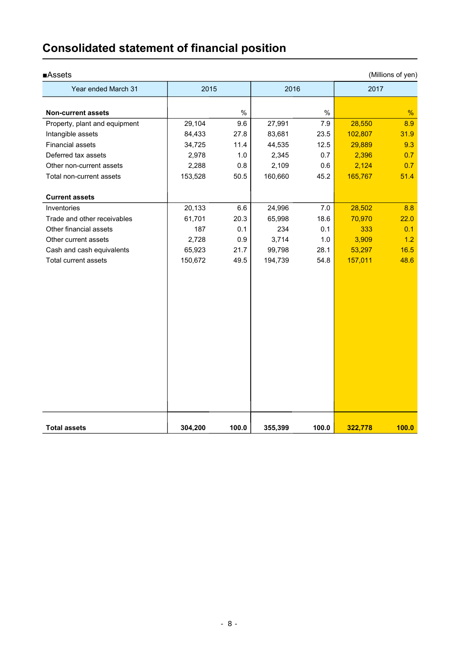| <b>Assets</b>                 |         |       |         |       |         | (Millions of yen) |
|-------------------------------|---------|-------|---------|-------|---------|-------------------|
| Year ended March 31           | 2015    |       | 2016    |       | 2017    |                   |
| <b>Non-current assets</b>     |         | $\%$  |         | $\%$  |         | %                 |
| Property, plant and equipment | 29,104  | 9.6   | 27,991  | 7.9   | 28,550  | 8.9               |
| Intangible assets             | 84,433  | 27.8  | 83,681  | 23.5  | 102,807 | 31.9              |
| <b>Financial assets</b>       | 34,725  | 11.4  | 44,535  | 12.5  | 29,889  | 9.3               |
| Deferred tax assets           | 2,978   | 1.0   | 2,345   | 0.7   | 2,396   | 0.7               |
| Other non-current assets      | 2,288   | 0.8   | 2,109   | 0.6   | 2,124   | 0.7               |
| Total non-current assets      | 153,528 | 50.5  | 160,660 | 45.2  | 165,767 | 51.4              |
| <b>Current assets</b>         |         |       |         |       |         |                   |
| Inventories                   | 20,133  | 6.6   | 24,996  | 7.0   | 28,502  | 8.8               |
| Trade and other receivables   | 61,701  | 20.3  | 65,998  | 18.6  | 70,970  | 22.0              |
| Other financial assets        | 187     | 0.1   | 234     | 0.1   | 333     | 0.1               |
| Other current assets          | 2,728   | 0.9   | 3,714   | 1.0   | 3,909   | 1.2               |
| Cash and cash equivalents     | 65,923  | 21.7  | 99,798  | 28.1  | 53,297  | 16.5              |
| Total current assets          | 150,672 | 49.5  | 194,739 | 54.8  | 157,011 | 48.6              |
|                               |         |       |         |       |         |                   |
| <b>Total assets</b>           | 304,200 | 100.0 | 355,399 | 100.0 | 322,778 | 100.0             |

### **Consolidated statement of financial position**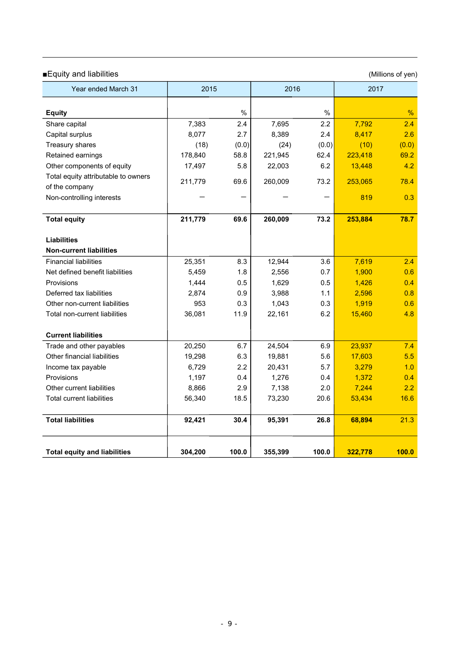### ■Equity and liabilities (Millions of yen)

| Year ended March 31                 | 2015    |       | 2016    |       | 2017    |       |
|-------------------------------------|---------|-------|---------|-------|---------|-------|
| <b>Equity</b>                       |         | $\%$  |         | $\%$  |         | %     |
| Share capital                       | 7,383   | 2.4   | 7,695   | 2.2   | 7,792   | 2.4   |
| Capital surplus                     | 8,077   | 2.7   | 8,389   | 2.4   | 8,417   | 2.6   |
| Treasury shares                     | (18)    | (0.0) | (24)    | (0.0) | (10)    | (0.0) |
| Retained earnings                   | 178,840 | 58.8  | 221,945 | 62.4  | 223,418 | 69.2  |
| Other components of equity          | 17,497  | 5.8   | 22,003  | 6.2   | 13,448  | 4.2   |
| Total equity attributable to owners |         |       |         |       |         |       |
| of the company                      | 211,779 | 69.6  | 260,009 | 73.2  | 253,065 | 78.4  |
| Non-controlling interests           |         |       |         |       | 819     | 0.3   |
|                                     |         |       |         |       |         |       |
| <b>Total equity</b>                 | 211,779 | 69.6  | 260,009 | 73.2  | 253,884 | 78.7  |
|                                     |         |       |         |       |         |       |
| <b>Liabilities</b>                  |         |       |         |       |         |       |
| <b>Non-current liabilities</b>      |         |       |         |       |         |       |
| <b>Financial liabilities</b>        | 25,351  | 8.3   | 12,944  | 3.6   | 7,619   | 2.4   |
| Net defined benefit liabilities     | 5,459   | 1.8   | 2,556   | 0.7   | 1,900   | 0.6   |
| Provisions                          | 1,444   | 0.5   | 1,629   | 0.5   | 1,426   | 0.4   |
| Deferred tax liabilities            | 2,874   | 0.9   | 3,988   | 1.1   | 2,596   | 0.8   |
| Other non-current liabilities       | 953     | 0.3   | 1,043   | 0.3   | 1,919   | 0.6   |
| Total non-current liabilities       | 36,081  | 11.9  | 22,161  | 6.2   | 15,460  | 4.8   |
| <b>Current liabilities</b>          |         |       |         |       |         |       |
| Trade and other payables            | 20,250  | 6.7   | 24,504  | 6.9   | 23,937  | 7.4   |
| Other financial liabilities         | 19,298  | 6.3   | 19,881  | 5.6   | 17,603  | 5.5   |
| Income tax payable                  | 6,729   | 2.2   | 20,431  | 5.7   | 3,279   | 1.0   |
| Provisions                          | 1,197   | 0.4   | 1,276   | 0.4   | 1,372   | 0.4   |
| Other current liabilities           | 8,866   | 2.9   | 7,138   | 2.0   | 7,244   | 2.2   |
| <b>Total current liabilities</b>    | 56,340  | 18.5  | 73,230  | 20.6  | 53,434  | 16.6  |
| <b>Total liabilities</b>            | 92,421  | 30.4  | 95,391  | 26.8  | 68,894  | 21.3  |
| <b>Total equity and liabilities</b> | 304,200 | 100.0 | 355,399 | 100.0 | 322,778 | 100.0 |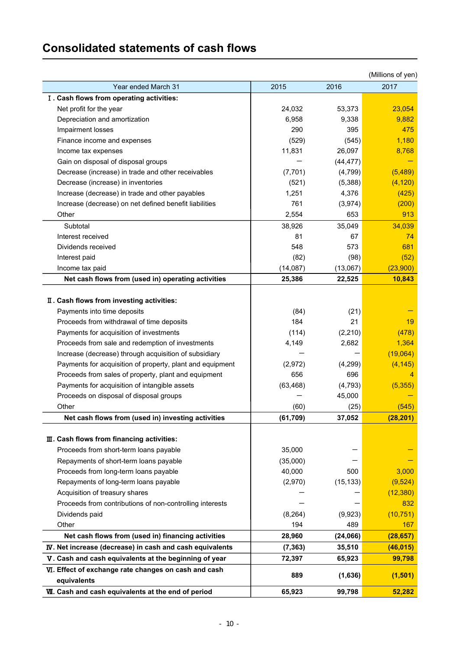### **Consolidated statements of cash flows**

|                                                           |           |           | (Millions of yen) |
|-----------------------------------------------------------|-----------|-----------|-------------------|
| Year ended March 31                                       | 2015      | 2016      | 2017              |
| I. Cash flows from operating activities:                  |           |           |                   |
| Net profit for the year                                   | 24,032    | 53,373    | 23,054            |
| Depreciation and amortization                             | 6,958     | 9,338     | 9,882             |
| Impairment losses                                         | 290       | 395       | 475               |
| Finance income and expenses                               | (529)     | (545)     | 1,180             |
| Income tax expenses                                       | 11,831    | 26,097    | 8,768             |
| Gain on disposal of disposal groups                       |           | (44, 477) |                   |
| Decrease (increase) in trade and other receivables        | (7, 701)  | (4,799)   | (5,489)           |
| Decrease (increase) in inventories                        | (521)     | (5,388)   | (4, 120)          |
| Increase (decrease) in trade and other payables           | 1,251     | 4,376     | (425)             |
| Increase (decrease) on net defined benefit liabilities    | 761       | (3,974)   | (200)             |
| Other                                                     | 2,554     | 653       | 913               |
| Subtotal                                                  | 38,926    | 35,049    | 34,039            |
| Interest received                                         | 81        | 67        | 74                |
| Dividends received                                        | 548       | 573       | 681               |
| Interest paid                                             | (82)      | (98)      | (52)              |
| Income tax paid                                           | (14,087)  | (13,067)  | (23,900)          |
| Net cash flows from (used in) operating activities        | 25,386    | 22,525    | 10,843            |
|                                                           |           |           |                   |
| II. Cash flows from investing activities:                 |           |           |                   |
| Payments into time deposits                               | (84)      | (21)      |                   |
| Proceeds from withdrawal of time deposits                 | 184       | 21        | 19                |
| Payments for acquisition of investments                   | (114)     | (2, 210)  | (478)             |
| Proceeds from sale and redemption of investments          | 4,149     | 2,682     | 1,364             |
| Increase (decrease) through acquisition of subsidiary     |           |           | (19,064)          |
| Payments for acquisition of property, plant and equipment | (2,972)   | (4,299)   | (4, 145)          |
| Proceeds from sales of property, plant and equipment      | 656       | 696       | 4                 |
| Payments for acquisition of intangible assets             | (63, 468) | (4, 793)  | (5,355)           |
| Proceeds on disposal of disposal groups                   |           | 45,000    |                   |
| Other                                                     | (60)      | (25)      | (545)             |
| Net cash flows from (used in) investing activities        | (61, 709) | 37,052    | (28, 201)         |
|                                                           |           |           |                   |
| III. Cash flows from financing activities:                |           |           |                   |
| Proceeds from short-term loans payable                    | 35,000    |           |                   |
| Repayments of short-term loans payable                    | (35,000)  |           |                   |
| Proceeds from long-term loans payable                     | 40,000    | 500       | 3,000             |
| Repayments of long-term loans payable                     | (2,970)   | (15, 133) | (9,524)           |
| Acquisition of treasury shares                            |           |           | (12, 380)         |
| Proceeds from contributions of non-controlling interests  |           |           | 832               |
| Dividends paid                                            | (8, 264)  | (9,923)   | (10, 751)         |
| Other                                                     | 194       | 489       | 167               |
| Net cash flows from (used in) financing activities        | 28,960    | (24,066)  | (28, 657)         |
| IV. Net increase (decrease) in cash and cash equivalents  | (7, 363)  | 35,510    | (46, 015)         |
| V. Cash and cash equivalents at the beginning of year     | 72,397    | 65,923    | 99,798            |
| VI. Effect of exchange rate changes on cash and cash      |           |           |                   |
| equivalents                                               | 889       | (1,636)   | (1,501)           |
| VII. Cash and cash equivalents at the end of period       | 65,923    | 99,798    | 52,282            |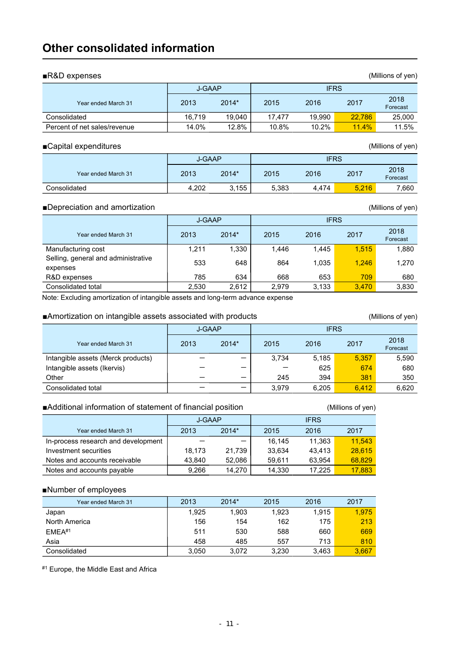### **Other consolidated information**

| $\blacksquare$ R&D expenses<br>(Millions of yen) |        |                       |        |        |        |                  |  |  |  |  |  |
|--------------------------------------------------|--------|-----------------------|--------|--------|--------|------------------|--|--|--|--|--|
|                                                  |        | <b>IFRS</b><br>J-GAAP |        |        |        |                  |  |  |  |  |  |
| Year ended March 31                              | 2013   | 2014*                 | 2015   | 2016   | 2017   | 2018<br>Forecast |  |  |  |  |  |
| Consolidated                                     | 16.719 | 19.040                | 17.477 | 19.990 | 22.786 | 25,000           |  |  |  |  |  |
| Percent of net sales/revenue                     | 14.0%  | 12.8%                 | 10.8%  | 10.2%  | 11.4%  | 11.5%            |  |  |  |  |  |
|                                                  |        |                       |        |        |        |                  |  |  |  |  |  |

### ■Capital expenditures (Millions of yen)

|                     | <b>J-GAAP</b> |       |       |       |       |                  |
|---------------------|---------------|-------|-------|-------|-------|------------------|
| Year ended March 31 | 2013          | 2014* | 2015  | 2016  | 2017  | 2018<br>Forecast |
| Consolidated        | 4,202         | 3,155 | 5,383 | 4.474 | 5.216 | 7.660            |

### ■Depreciation and amortization (Millions of yen)

|                                                 | <b>J-GAAP</b> |       |       |       |       |                  |
|-------------------------------------------------|---------------|-------|-------|-------|-------|------------------|
| Year ended March 31                             | 2013          | 2014* | 2015  | 2016  | 2017  | 2018<br>Forecast |
| Manufacturing cost                              | 1,211         | 1,330 | 1.446 | 1.445 | 1.515 | 1,880            |
| Selling, general and administrative<br>expenses | 533           | 648   | 864   | 1,035 | 1.246 | 1,270            |
| R&D expenses                                    | 785           | 634   | 668   | 653   | 709   | 680              |
| Consolidated total                              | 2,530         | 2.612 | 2.979 | 3,133 | 3.470 | 3,830            |

Note: Excluding amortization of intangible assets and long-term advance expense

### ■Amortization on intangible assets associated with products (Millions of yen)

J-GAAP IFRS Year ended March 31 1 2013 2014\* 2015 2016 2017 2018 Forecast Intangible assets (Merck products)  $-$  3,734 5,185 5,357 5,590 Intangible assets (Ikervis)  $-$  625 674 680 Other - - 245 394 381 350 Consolidated total  $-$  3,979 6,205 6,412 6,620

### ■Additional information of statement of financial position (Millions of yen)

|                                     | J-GAAP |         |        |        |        |
|-------------------------------------|--------|---------|--------|--------|--------|
| Year ended March 31                 | 2013   | $2014*$ | 2015   | 2016   | 2017   |
| In-process research and development |        |         | 16.145 | 11.363 | 11.543 |
| Investment securities               | 18.173 | 21.739  | 33.634 | 43.413 | 28.615 |
| Notes and accounts receivable       | 43.840 | 52,086  | 59.611 | 63.954 | 68,829 |
| Notes and accounts payable          | 9.266  | 14,270  | 14.330 | 17.225 | 17,883 |

### ■Number of employees

| Year ended March 31 | 2013  | $2014*$ | 2015  | 2016  | 2017  |
|---------------------|-------|---------|-------|-------|-------|
|                     |       |         |       |       |       |
| Japan               | 1,925 | 1,903   | 1,923 | 1.915 | 1,975 |
| North America       | 156   | 154     | 162   | 175   | 213   |
| FMFA#1              | 511   | 530     | 588   | 660   | 669   |
| Asia                | 458   | 485     | 557   | 713   | 810   |
| Consolidated        | 3.050 | 3.072   | 3.230 | 3.463 | 3,667 |

#1 Europe, the Middle East and Africa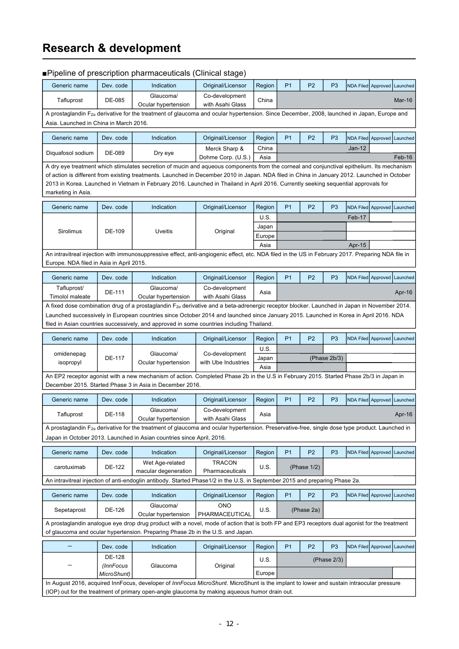### **Research & development**

|                                                                                                                                                                                                                                                                                                                                                                                                                                                         |                                                                                                                                                                                                                                                                                                 | ■Pipeline of prescription pharmaceuticals (Clinical stage)                                                                                                                                                                                |                                    |                     |                |                |                |                             |  |          |
|---------------------------------------------------------------------------------------------------------------------------------------------------------------------------------------------------------------------------------------------------------------------------------------------------------------------------------------------------------------------------------------------------------------------------------------------------------|-------------------------------------------------------------------------------------------------------------------------------------------------------------------------------------------------------------------------------------------------------------------------------------------------|-------------------------------------------------------------------------------------------------------------------------------------------------------------------------------------------------------------------------------------------|------------------------------------|---------------------|----------------|----------------|----------------|-----------------------------|--|----------|
| Generic name                                                                                                                                                                                                                                                                                                                                                                                                                                            | Dev. code                                                                                                                                                                                                                                                                                       | Indication                                                                                                                                                                                                                                | Original/Licensor                  | Region              | P <sub>1</sub> | P <sub>2</sub> | P <sub>3</sub> | NDA Filed Approved Launched |  |          |
| Tafluprost                                                                                                                                                                                                                                                                                                                                                                                                                                              | DE-085                                                                                                                                                                                                                                                                                          | Glaucoma/<br>Ocular hypertension                                                                                                                                                                                                          | Co-development<br>with Asahi Glass | China               |                |                |                |                             |  | Mar-16   |
|                                                                                                                                                                                                                                                                                                                                                                                                                                                         |                                                                                                                                                                                                                                                                                                 | A prostaglandin F <sub>2a</sub> derivative for the treatment of glaucoma and ocular hypertension. Since December, 2008, launched in Japan, Europe and                                                                                     |                                    |                     |                |                |                |                             |  |          |
| Asia. Launched in China in March 2016.                                                                                                                                                                                                                                                                                                                                                                                                                  |                                                                                                                                                                                                                                                                                                 |                                                                                                                                                                                                                                           |                                    |                     |                |                |                |                             |  |          |
| Generic name                                                                                                                                                                                                                                                                                                                                                                                                                                            | Dev. code                                                                                                                                                                                                                                                                                       | Indication                                                                                                                                                                                                                                | Original/Licensor                  | Region              | P <sub>1</sub> | P <sub>2</sub> | P <sub>3</sub> | NDA Filed Approved          |  | Launched |
|                                                                                                                                                                                                                                                                                                                                                                                                                                                         |                                                                                                                                                                                                                                                                                                 |                                                                                                                                                                                                                                           | Merck Sharp &                      | China               |                |                |                | $Jan-12$                    |  |          |
| Diquafosol sodium                                                                                                                                                                                                                                                                                                                                                                                                                                       | DE-089                                                                                                                                                                                                                                                                                          | Dry eye                                                                                                                                                                                                                                   | Dohme Corp. (U.S.)                 | Asia                |                |                |                |                             |  | Feb-16   |
| A dry eye treatment which stimulates secretion of mucin and aqueous components from the corneal and conjunctival epithelium. Its mechanism<br>of action is different from existing treatments. Launched in December 2010 in Japan. NDA filed in China in January 2012. Launched in October<br>2013 in Korea. Launched in Vietnam in February 2016. Launched in Thailand in April 2016. Currently seeking sequential approvals for<br>marketing in Asia. |                                                                                                                                                                                                                                                                                                 |                                                                                                                                                                                                                                           |                                    |                     |                |                |                |                             |  |          |
| Generic name                                                                                                                                                                                                                                                                                                                                                                                                                                            | Dev. code                                                                                                                                                                                                                                                                                       | Indication                                                                                                                                                                                                                                | Original/Licensor                  | Region              | P <sub>1</sub> | P <sub>2</sub> | P <sub>3</sub> | NDA Filed Approved          |  | Launched |
|                                                                                                                                                                                                                                                                                                                                                                                                                                                         |                                                                                                                                                                                                                                                                                                 |                                                                                                                                                                                                                                           |                                    | U.S.                |                |                |                | Feb-17                      |  |          |
| Sirolimus                                                                                                                                                                                                                                                                                                                                                                                                                                               | DE-109                                                                                                                                                                                                                                                                                          | Uveitis                                                                                                                                                                                                                                   | Original                           | Japan               |                |                |                |                             |  |          |
|                                                                                                                                                                                                                                                                                                                                                                                                                                                         |                                                                                                                                                                                                                                                                                                 |                                                                                                                                                                                                                                           |                                    | Europe              |                |                |                |                             |  |          |
|                                                                                                                                                                                                                                                                                                                                                                                                                                                         |                                                                                                                                                                                                                                                                                                 |                                                                                                                                                                                                                                           |                                    | Asia                |                |                |                | Apr-15                      |  |          |
| An intravitreal injection with immunosuppressive effect, anti-angiogenic effect, etc. NDA filed in the US in February 2017. Preparing NDA file in<br>Europe. NDA filed in Asia in April 2015.                                                                                                                                                                                                                                                           |                                                                                                                                                                                                                                                                                                 |                                                                                                                                                                                                                                           |                                    |                     |                |                |                |                             |  |          |
| Generic name                                                                                                                                                                                                                                                                                                                                                                                                                                            | Dev. code                                                                                                                                                                                                                                                                                       | Indication                                                                                                                                                                                                                                | Original/Licensor                  | Region              | P <sub>1</sub> | P <sub>2</sub> | P <sub>3</sub> | NDA Filed Approved          |  | Launched |
| Tafluprost/                                                                                                                                                                                                                                                                                                                                                                                                                                             | DE-111                                                                                                                                                                                                                                                                                          | Glaucoma/                                                                                                                                                                                                                                 | Co-development                     | Asia                |                |                |                |                             |  | Apr-16   |
| Timolol maleate<br>Ocular hypertension<br>with Asahi Glass                                                                                                                                                                                                                                                                                                                                                                                              |                                                                                                                                                                                                                                                                                                 |                                                                                                                                                                                                                                           |                                    |                     |                |                |                |                             |  |          |
|                                                                                                                                                                                                                                                                                                                                                                                                                                                         | A fixed dose combination drug of a prostaglandin F <sub>2a</sub> derivative and a beta-adrenergic receptor blocker. Launched in Japan in November 2014.<br>Launched successively in European countries since October 2014 and launched since January 2015. Launched in Korea in April 2016. NDA |                                                                                                                                                                                                                                           |                                    |                     |                |                |                |                             |  |          |
|                                                                                                                                                                                                                                                                                                                                                                                                                                                         |                                                                                                                                                                                                                                                                                                 | filed in Asian countries successively, and approved in some countries including Thailand.                                                                                                                                                 |                                    |                     |                |                |                |                             |  |          |
|                                                                                                                                                                                                                                                                                                                                                                                                                                                         |                                                                                                                                                                                                                                                                                                 |                                                                                                                                                                                                                                           |                                    |                     |                |                |                |                             |  |          |
| Generic name                                                                                                                                                                                                                                                                                                                                                                                                                                            | Dev. code                                                                                                                                                                                                                                                                                       | Indication                                                                                                                                                                                                                                | Original/Licensor                  | Region              | P <sub>1</sub> | P <sub>2</sub> | P <sub>3</sub> | NDA Filed Approved          |  | Launched |
| omidenepag                                                                                                                                                                                                                                                                                                                                                                                                                                              |                                                                                                                                                                                                                                                                                                 | Glaucoma/                                                                                                                                                                                                                                 | Co-development                     | U.S.                |                |                |                |                             |  |          |
| isopropyl                                                                                                                                                                                                                                                                                                                                                                                                                                               | DE-117                                                                                                                                                                                                                                                                                          | Ocular hypertension                                                                                                                                                                                                                       | with Ube Industries                | Japan               |                |                | (Phase 2b/3)   |                             |  |          |
|                                                                                                                                                                                                                                                                                                                                                                                                                                                         |                                                                                                                                                                                                                                                                                                 | An EP2 receptor agonist with a new mechanism of action. Completed Phase 2b in the U.S in February 2015. Started Phase 2b/3 in Japan in                                                                                                    |                                    | Asia                |                |                |                |                             |  |          |
|                                                                                                                                                                                                                                                                                                                                                                                                                                                         |                                                                                                                                                                                                                                                                                                 | December 2015. Started Phase 3 in Asia in December 2016.                                                                                                                                                                                  |                                    |                     |                |                |                |                             |  |          |
|                                                                                                                                                                                                                                                                                                                                                                                                                                                         |                                                                                                                                                                                                                                                                                                 |                                                                                                                                                                                                                                           |                                    |                     |                |                |                |                             |  |          |
| Generic name                                                                                                                                                                                                                                                                                                                                                                                                                                            | Dev. code                                                                                                                                                                                                                                                                                       | Indication                                                                                                                                                                                                                                | Original/Licensor                  | Region              | P <sub>1</sub> | P <sub>2</sub> | P <sub>3</sub> | NDA Filed Approved Launched |  |          |
| Tafluprost                                                                                                                                                                                                                                                                                                                                                                                                                                              | DE-118                                                                                                                                                                                                                                                                                          | Glaucoma/<br>Ocular hypertension                                                                                                                                                                                                          | Co-development<br>with Asahi Glass | Asia                |                |                |                |                             |  | Apr-16   |
|                                                                                                                                                                                                                                                                                                                                                                                                                                                         |                                                                                                                                                                                                                                                                                                 | A prostaglandin F <sub>2a</sub> derivative for the treatment of glaucoma and ocular hypertension. Preservative-free, single dose type product. Launched in                                                                                |                                    |                     |                |                |                |                             |  |          |
|                                                                                                                                                                                                                                                                                                                                                                                                                                                         |                                                                                                                                                                                                                                                                                                 | Japan in October 2013. Launched in Asian countries since April, 2016.                                                                                                                                                                     |                                    |                     |                |                |                |                             |  |          |
| Generic name                                                                                                                                                                                                                                                                                                                                                                                                                                            | Dev. code                                                                                                                                                                                                                                                                                       | Indication                                                                                                                                                                                                                                | Original/Licensor                  | Region              | P <sub>1</sub> | P <sub>2</sub> | P <sub>3</sub> | NDA Filed Approved          |  | Launched |
| carotuximab                                                                                                                                                                                                                                                                                                                                                                                                                                             | DE-122                                                                                                                                                                                                                                                                                          | Wet Age-related                                                                                                                                                                                                                           | <b>TRACON</b>                      | U.S.                |                | (Phase 1/2)    |                |                             |  |          |
|                                                                                                                                                                                                                                                                                                                                                                                                                                                         |                                                                                                                                                                                                                                                                                                 | macular degeneration                                                                                                                                                                                                                      | Pharmaceuticals                    |                     |                |                |                |                             |  |          |
|                                                                                                                                                                                                                                                                                                                                                                                                                                                         |                                                                                                                                                                                                                                                                                                 | An intravitreal injection of anti-endoglin antibody. Started Phase1/2 in the U.S. in September 2015 and preparing Phase 2a.                                                                                                               |                                    |                     |                |                |                |                             |  |          |
| Generic name                                                                                                                                                                                                                                                                                                                                                                                                                                            | Dev. code                                                                                                                                                                                                                                                                                       | Indication                                                                                                                                                                                                                                | Original/Licensor                  | Region              | <b>P1</b>      | P <sub>2</sub> | P <sub>3</sub> | NDA Filed Approved Launched |  |          |
| Sepetaprost                                                                                                                                                                                                                                                                                                                                                                                                                                             | DE-126                                                                                                                                                                                                                                                                                          | Glaucoma/<br>Ocular hypertension                                                                                                                                                                                                          | <b>ONO</b><br>PHARMACEUTICAL       | U.S.                |                | (Phase 2a)     |                |                             |  |          |
|                                                                                                                                                                                                                                                                                                                                                                                                                                                         |                                                                                                                                                                                                                                                                                                 | A prostaglandin analogue eye drop drug product with a novel, mode of action that is both FP and EP3 receptors dual agonist for the treatment                                                                                              |                                    |                     |                |                |                |                             |  |          |
|                                                                                                                                                                                                                                                                                                                                                                                                                                                         |                                                                                                                                                                                                                                                                                                 | of glaucoma and ocular hypertension. Preparing Phase 2b in the U.S. and Japan.                                                                                                                                                            |                                    |                     |                |                |                |                             |  |          |
|                                                                                                                                                                                                                                                                                                                                                                                                                                                         | Dev. code                                                                                                                                                                                                                                                                                       | Indication                                                                                                                                                                                                                                | Original/Licensor                  | Region              | P <sub>1</sub> | P <sub>2</sub> | P <sub>3</sub> | NDA Filed Approved          |  | Launched |
|                                                                                                                                                                                                                                                                                                                                                                                                                                                         | DE-128<br>(InnFocus                                                                                                                                                                                                                                                                             | Glaucoma                                                                                                                                                                                                                                  | Original                           | U.S.<br>(Phase 2/3) |                |                |                |                             |  |          |
|                                                                                                                                                                                                                                                                                                                                                                                                                                                         | MicroShunt)                                                                                                                                                                                                                                                                                     |                                                                                                                                                                                                                                           |                                    | Europe              |                |                |                |                             |  |          |
|                                                                                                                                                                                                                                                                                                                                                                                                                                                         |                                                                                                                                                                                                                                                                                                 | In August 2016, acquired InnFocus, developer of InnFocus MicroShunt. MicroShunt is the implant to lower and sustain intraocular pressure<br>(IOP) out for the treatment of primary open-angle glaucoma by making aqueous humor drain out. |                                    |                     |                |                |                |                             |  |          |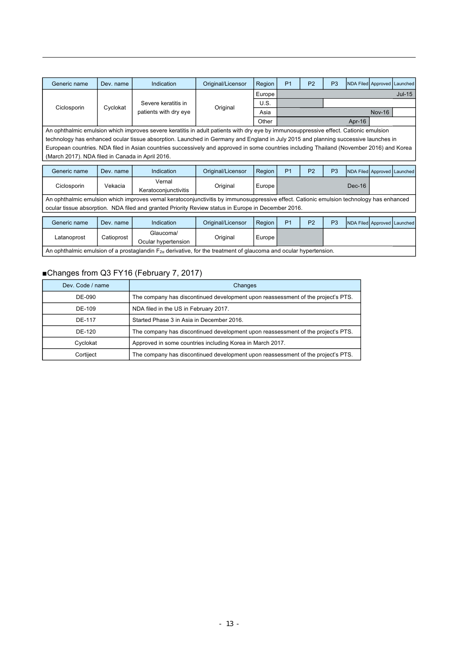| Generic name                                                                                                                       | Dev. name                                                                                                                            | Indication                                                                                                                                | Original/Licensor | Region | P <sub>1</sub> | P <sub>2</sub> | P <sub>3</sub> | NDA Filed Approved Launched |               |                             |  |
|------------------------------------------------------------------------------------------------------------------------------------|--------------------------------------------------------------------------------------------------------------------------------------|-------------------------------------------------------------------------------------------------------------------------------------------|-------------------|--------|----------------|----------------|----------------|-----------------------------|---------------|-----------------------------|--|
|                                                                                                                                    |                                                                                                                                      |                                                                                                                                           |                   | Europe |                |                | $Jul-15$       |                             |               |                             |  |
|                                                                                                                                    | Cyclokat                                                                                                                             | Severe keratitis in                                                                                                                       |                   | U.S.   |                |                |                |                             |               |                             |  |
| Ciclosporin                                                                                                                        |                                                                                                                                      | patients with dry eye                                                                                                                     | Original          | Asia   |                |                |                |                             | <b>Nov-16</b> |                             |  |
|                                                                                                                                    |                                                                                                                                      |                                                                                                                                           |                   | Other  | Apr- $16$      |                |                |                             |               |                             |  |
|                                                                                                                                    | An ophthalmic emulsion which improves severe keratitis in adult patients with dry eye by immunosuppressive effect. Cationic emulsion |                                                                                                                                           |                   |        |                |                |                |                             |               |                             |  |
| technology has enhanced ocular tissue absorption. Launched in Germany and England in July 2015 and planning successive launches in |                                                                                                                                      |                                                                                                                                           |                   |        |                |                |                |                             |               |                             |  |
|                                                                                                                                    |                                                                                                                                      | European countries. NDA filed in Asian countries successively and approved in some countries including Thailand (November 2016) and Korea |                   |        |                |                |                |                             |               |                             |  |
| (March 2017). NDA filed in Canada in April 2016.                                                                                   |                                                                                                                                      |                                                                                                                                           |                   |        |                |                |                |                             |               |                             |  |
| Generic name                                                                                                                       | Dev. name                                                                                                                            | Indication                                                                                                                                | Original/Licensor | Region | P <sub>1</sub> | P <sub>2</sub> | P <sub>3</sub> | NDA Filed Approved Launched |               |                             |  |
|                                                                                                                                    |                                                                                                                                      |                                                                                                                                           |                   |        |                |                |                |                             |               |                             |  |
| Ciclosporin                                                                                                                        | Vekacia                                                                                                                              | Vernal                                                                                                                                    | Original          | Europe |                |                |                | $Dec-16$                    |               |                             |  |
|                                                                                                                                    |                                                                                                                                      | Keratoconjunctivitis                                                                                                                      |                   |        |                |                |                |                             |               |                             |  |
|                                                                                                                                    |                                                                                                                                      | An ophthalmic emulsion which improves vernal keratoconjunctivitis by immunosuppressive effect. Cationic emulsion technology has enhanced  |                   |        |                |                |                |                             |               |                             |  |
|                                                                                                                                    |                                                                                                                                      | ocular tissue absorption. NDA filed and granted Priority Review status in Europe in December 2016.                                        |                   |        |                |                |                |                             |               |                             |  |
|                                                                                                                                    |                                                                                                                                      |                                                                                                                                           |                   |        |                |                |                |                             |               |                             |  |
| Generic name                                                                                                                       | Dev. name                                                                                                                            | Indication                                                                                                                                | Original/Licensor | Region | P <sub>1</sub> | P <sub>2</sub> | P <sub>3</sub> |                             |               | NDA Filed Approved Launched |  |

| Generic name                                                                                                               | Dev. name  | Indication                       | Original/Licensor | Region |  | P <sub>2</sub> | P3 | <b>INDA Filed Approved Launched</b> |  |  |
|----------------------------------------------------------------------------------------------------------------------------|------------|----------------------------------|-------------------|--------|--|----------------|----|-------------------------------------|--|--|
| Latanoprost                                                                                                                | Catioprost | Glaucoma/<br>Ocular hvpertension | Original          | Europe |  |                |    |                                     |  |  |
| An ophthalmic emulsion of a prostaglandin $F_{2\alpha}$ derivative, for the treatment of glaucoma and ocular hypertension. |            |                                  |                   |        |  |                |    |                                     |  |  |

### ■Changes from Q3 FY16 (February 7, 2017)

| Dev. Code / name | Changes                                                                          |
|------------------|----------------------------------------------------------------------------------|
| DE-090           | The company has discontinued development upon reassessment of the project's PTS. |
| DE-109           | NDA filed in the US in February 2017.                                            |
| DE-117           | Started Phase 3 in Asia in December 2016.                                        |
| DE-120           | The company has discontinued development upon reassessment of the project's PTS. |
| Cyclokat         | Approved in some countries including Korea in March 2017.                        |
| Cortiject        | The company has discontinued development upon reassessment of the project's PTS. |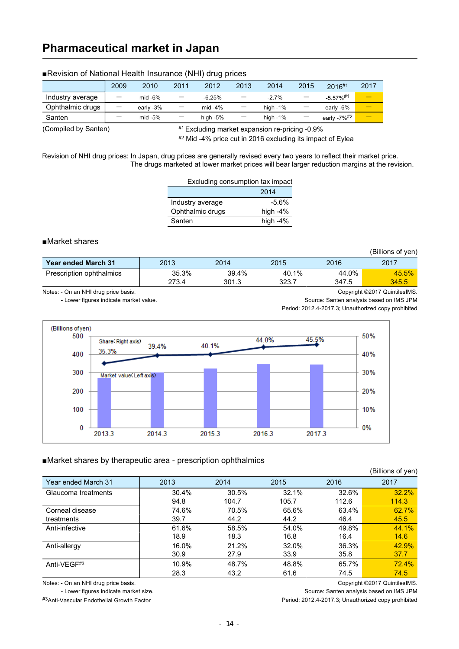### **Pharmaceutical market in Japan**

|                  | 2009                     | 2010      | 2011                     | 2012       | 2013            | 2014        | 2015                     | 2016#1                  | 2017 |
|------------------|--------------------------|-----------|--------------------------|------------|-----------------|-------------|--------------------------|-------------------------|------|
| Industry average | $\overline{\phantom{0}}$ | mid $-6%$ | -                        | $-6.25%$   |                 | $-2.7%$     | $\overline{\phantom{0}}$ | $-5.57\%$ <sup>#1</sup> |      |
| Ophthalmic drugs | $\overline{\phantom{0}}$ | early -3% | $\overline{\phantom{m}}$ | mid $-4\%$ | $\qquad \qquad$ | high $-1\%$ | $\overline{\phantom{m}}$ | early -6%               |      |
| Santen           |                          | mid $-5%$ | $\qquad \qquad -$        | high -5%   | -               | high -1%    |                          | early -7% <sup>#2</sup> |      |

### ■Revision of National Health Insurance (NHI) drug prices

(Compiled by Santen)

#1 Excluding market expansion re-pricing -0.9%

#2 Mid -4% price cut in 2016 excluding its impact of Eylea

Revision of NHI drug prices: In Japan, drug prices are generally revised every two years to reflect their market price. The drugs marketed at lower market prices will bear larger reduction margins at the revision.

| Excluding consumption tax impact |            |
|----------------------------------|------------|
|                                  | 2014       |
| Industry average                 | $-5.6%$    |
| Ophthalmic drugs                 | high $-4%$ |
| Santen                           | high $-4%$ |

### ■Market shares

(Billions of yen)

| <b>Year ended March 31</b>           | 2013           | 2014           | 2015           | 2016           | 2017                          |
|--------------------------------------|----------------|----------------|----------------|----------------|-------------------------------|
| Prescription ophthalmics             | 35.3%<br>273.4 | 39.4%<br>301.3 | 40.1%<br>323.7 | 44.0%<br>347.5 | 45.5%<br>345.5                |
| Notes: - On an NHI drug price basis. |                |                |                |                | Copyright ©2017 QuintilesIMS. |

- Lower figures indicate market value. Source: Santen analysis based on IMS JPM

Period: 2012.4-2017.3; Unauthorized copy prohibited



#### ■Market shares by therapeutic area - prescription ophthalmics

|                     |       |       |       |       | (Billions of yen) |
|---------------------|-------|-------|-------|-------|-------------------|
| Year ended March 31 | 2013  | 2014  | 2015  | 2016  | 2017              |
| Glaucoma treatments | 30.4% | 30.5% | 32.1% | 32.6% | 32.2%             |
|                     | 94.8  | 104.7 | 105.7 | 112.6 | 114.3             |
| Corneal disease     | 74.6% | 70.5% | 65.6% | 63.4% | 62.7%             |
| treatments          | 39.7  | 44.2  | 44.2  | 46.4  | 45.5              |
| Anti-infective      | 61.6% | 58.5% | 54.0% | 49.8% | 44.1%             |
|                     | 18.9  | 18.3  | 16.8  | 16.4  | 14.6              |
| Anti-allergy        | 16.0% | 21.2% | 32.0% | 36.3% | 42.9%             |
|                     | 30.9  | 27.9  | 33.9  | 35.8  | 37.7              |
| Anti-VEGF#3         | 10.9% | 48.7% | 48.8% | 65.7% | 72.4%             |
|                     | 28.3  | 43.2  | 61.6  | 74.5  | 74.5              |

Notes: - On an NHI drug price basis. **Copyright ©2017** QuintilesIMS.

- Lower figures indicate market size. Source: Santen analysis based on IMS JPM

#3Anti-Vascular Endothelial Growth Factor entity review of the extension of Period: 2012.4-2017.3; Unauthorized copy prohibited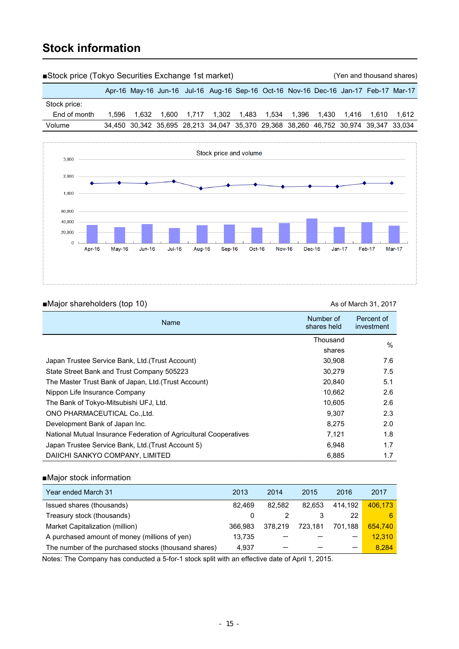### **Stock information**

| Stock price (Tokyo Securities Exchange 1st market) |       |                                                                                     |  |  |                                                                      |  |  | (Yen and thousand shares) |  |
|----------------------------------------------------|-------|-------------------------------------------------------------------------------------|--|--|----------------------------------------------------------------------|--|--|---------------------------|--|
|                                                    |       | Apr-16 May-16 Jun-16 Jul-16 Aug-16 Sep-16 Oct-16 Nov-16 Dec-16 Jan-17 Feb-17 Mar-17 |  |  |                                                                      |  |  |                           |  |
| Stock price:                                       |       |                                                                                     |  |  |                                                                      |  |  |                           |  |
| End of month                                       | 1.596 | 1.632                                                                               |  |  | 1,600  1,717  1,302  1,483  1,534  1,396  1,430  1,416  1,610  1,612 |  |  |                           |  |
| Volume                                             |       | 34,450 30,342 35,695 28,213 34,047 35,370 29,368 38,260 46,752 30,974 39,347 33,034 |  |  |                                                                      |  |  |                           |  |
|                                                    |       |                                                                                     |  |  |                                                                      |  |  |                           |  |



### ■Major shareholders (top 10) and the matrix of March 31, 2017

| Name                                                              | Number of<br>shares held | Percent of<br>investment |
|-------------------------------------------------------------------|--------------------------|--------------------------|
|                                                                   | Thousand                 | $\%$                     |
|                                                                   | shares                   |                          |
| Japan Trustee Service Bank, Ltd. (Trust Account)                  | 30,908                   | 7.6                      |
| State Street Bank and Trust Company 505223                        | 30.279                   | 7.5                      |
| The Master Trust Bank of Japan, Ltd. (Trust Account)              | 20,840                   | 5.1                      |
| Nippon Life Insurance Company                                     | 10,662                   | 2.6                      |
| The Bank of Tokyo-Mitsubishi UFJ, Ltd.                            | 10,605                   | 2.6                      |
| ONO PHARMACEUTICAL Co., Ltd.                                      | 9.307                    | 2.3                      |
| Development Bank of Japan Inc.                                    | 8.275                    | 2.0                      |
| National Mutual Insurance Federation of Agricultural Cooperatives | 7,121                    | 1.8                      |
| Japan Trustee Service Bank, Ltd. (Trust Account 5)                | 6.948                    | 1.7                      |
| DAIICHI SANKYO COMPANY, LIMITED                                   | 6,885                    | 1.7                      |

### ■Major stock information

| Year ended March 31                                  | 2013    | 2014    | 2015    | 2016                     | 2017    |
|------------------------------------------------------|---------|---------|---------|--------------------------|---------|
| Issued shares (thousands)                            | 82.469  | 82.582  | 82.653  | 414.192                  | 406.173 |
| Treasury stock (thousands)                           | 0       |         |         | 22                       | 6       |
| Market Capitalization (million)                      | 366.983 | 378.219 | 723.181 | 701.188                  | 654,740 |
| A purchased amount of money (millions of yen)        | 13.735  |         |         | -                        | 12.310  |
| The number of the purchased stocks (thousand shares) | 4.937   |         |         | $\overline{\phantom{0}}$ | 8.284   |

Notes: The Company has conducted a 5-for-1 stock split with an effective date of April 1, 2015.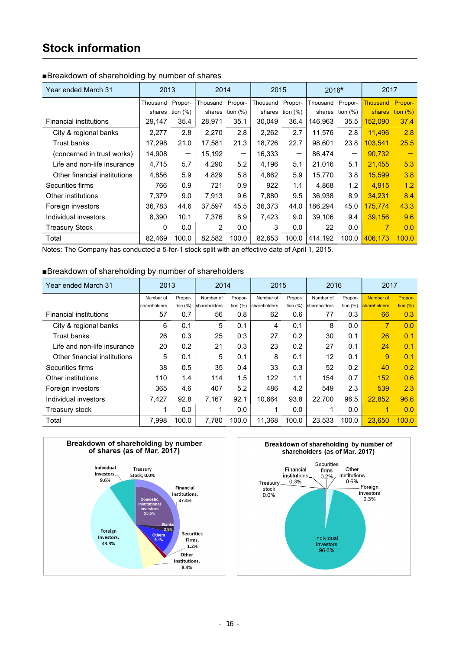### **Stock information**

| Year ended March 31           | 2013     |             | 2014     |            | 2015     |                    | 2016#    |                   | 2017            |             |
|-------------------------------|----------|-------------|----------|------------|----------|--------------------|----------|-------------------|-----------------|-------------|
|                               | Thousand | Propor-     | Thousand | Propor-    | Thousand | Propor-            | Thousand | Propor-           | <b>Thousand</b> | Propor-     |
|                               | shares   | tion $(\%)$ | shares   | tion $(%)$ |          | shares tion $(\%)$ | shares   | tion $(\%)$       | shares          | tion $(\%)$ |
| <b>Financial institutions</b> | 29,147   | 35.4        | 28,971   | 35.1       | 30,049   | 36.4               | 146,963  | 35.5              | 152,090         | 37.4        |
| City & regional banks         | 2,277    | 2.8         | 2,270    | 2.8        | 2,262    | 2.7                | 11,576   | 2.8               | 11,496          | 2.8         |
| Trust banks                   | 17,298   | 21.0        | 17.581   | 21.3       | 18,726   | 22.7               | 98,601   | 23.8              | 103.541         | 25.5        |
| (concerned in trust works)    | 14,908   | -           | 15,192   |            | 16,333   | -                  | 86,474   | $\qquad \qquad -$ | 90,732          |             |
| Life and non-life insurance   | 4,715    | 5.7         | 4,290    | 5.2        | 4,196    | 5.1                | 21,016   | 5.1               | 21,455          | 5.3         |
| Other financial institutions  | 4,856    | 5.9         | 4.829    | 5.8        | 4,862    | 5.9                | 15,770   | 3.8               | 15,599          | 3.8         |
| Securities firms              | 766      | 0.9         | 721      | 0.9        | 922      | 1.1                | 4,868    | 1.2               | 4,915           | 1.2         |
| Other institutions            | 7,379    | 9.0         | 7.913    | 9.6        | 7,880    | 9.5                | 36,938   | 8.9               | 34.231          | 8.4         |
| Foreign investors             | 36,783   | 44.6        | 37.597   | 45.5       | 36,373   | 44.0               | 186.294  | 45.0              | 175.774         | 43.3        |
| Individual investors          | 8,390    | 10.1        | 7,376    | 8.9        | 7,423    | 9.0                | 39,106   | 9.4               | 39,156          | 9.6         |
| <b>Treasury Stock</b>         | 0        | 0.0         | 2        | 0.0        | 3        | 0.0                | 22       | 0.0               | 7               | 0.0         |
| Total                         | 82,469   | 100.0       | 82,582   | 100.0      | 82,653   | 100.0              | 414,192  | 100.0             | 406,173         | 100.0       |

### ■Breakdown of shareholding by number of shares

Notes: The Company has conducted a 5-for-1 stock split with an effective date of April 1, 2015.

### ■Breakdown of shareholding by number of shareholders

| Year ended March 31           | 2013         |             | 2014<br>2015 |            | 2016         |             | 2017         |             |              |             |
|-------------------------------|--------------|-------------|--------------|------------|--------------|-------------|--------------|-------------|--------------|-------------|
|                               | Number of    | Propor-     | Number of    | Propor-    | Number of    | Propor-     | Number of    | Propor-     | Number of    | Propor-     |
|                               | shareholders | tion $(\%)$ | shareholders | tion $(%)$ | shareholders | tion $(\%)$ | shareholders | tion $(\%)$ | shareholders | tion $(\%)$ |
| <b>Financial institutions</b> | 57           | 0.7         | 56           | 0.8        | 62           | 0.6         | 77           | 0.3         | 66           | 0.3         |
| City & regional banks         | 6            | 0.1         | 5            | 0.1        | 4            | 0.1         | 8            | 0.0         | 7            | 0.0         |
| <b>Trust banks</b>            | 26           | 0.3         | 25           | 0.3        | 27           | 0.2         | 30           | 0.1         | 26           | 0.1         |
| Life and non-life insurance   | 20           | 0.2         | 21           | 0.3        | 23           | 0.2         | 27           | 0.1         | 24           | 0.1         |
| Other financial institutions  | 5            | 0.1         | 5            | 0.1        | 8            | 0.1         | 12           | 0.1         | 9            | 0.1         |
| Securities firms              | 38           | 0.5         | 35           | 0.4        | 33           | 0.3         | 52           | 0.2         | 40           | 0.2         |
| Other institutions            | 110          | 1.4         | 114          | 1.5        | 122          | 1.1         | 154          | 0.7         | 152          | 0.6         |
| Foreign investors             | 365          | 4.6         | 407          | 5.2        | 486          | 4.2         | 549          | 2.3         | 539          | 2.3         |
| Individual investors          | 7,427        | 92.8        | 7.167        | 92.1       | 10.664       | 93.8        | 22.700       | 96.5        | 22.852       | 96.6        |
| Treasury stock                | ٩            | 0.0         |              | 0.0        | 1            | 0.0         | 1            | 0.0         |              | 0.0         |
| Total                         | 7.998        | 100.0       | 7.780        | 100.0      | 11.368       | 100.0       | 23.533       | 100.0       | 23.650       | 100.0       |



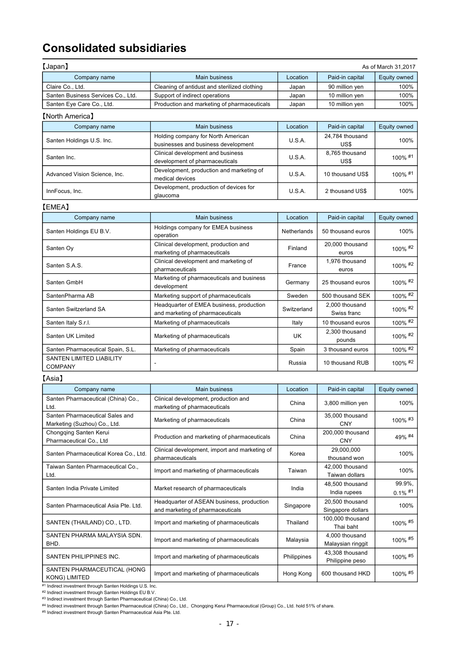### **Consolidated subsidiaries**

| 【Japan】                                                 |                                              |                          |                 | As of March 31,2017 |
|---------------------------------------------------------|----------------------------------------------|--------------------------|-----------------|---------------------|
| Company name                                            | <b>Main business</b>                         | Location                 | Paid-in capital | Equity owned        |
| Claire Co., Ltd.                                        | Cleaning of antidust and sterilized clothing | Japan                    | 90 million yen  | 100%                |
| Santen Business Services Co., Ltd.                      | Support of indirect operations               | Japan                    | 10 million yen  | 100%                |
| Santen Eye Care Co., Ltd.                               | Production and marketing of pharmaceuticals  | Japan                    | 10 million yen  | 100%                |
| [North America]                                         |                                              |                          |                 |                     |
| Company name                                            | <b>Main business</b>                         | Location                 | Paid-in capital | Equity owned        |
| $\sim$ $\sim$ $\sim$ $\sim$ $\sim$ $\sim$ $\sim$ $\sim$ | Holding company for North American           | $\cdots$ $\sim$ $\cdots$ | 24,784 thousand | $\lambda$           |

| Santen Holdings U.S. Inc.     | Holding company for North American<br>businesses and business development | U.S.A. | 24,784 tribusand<br>US\$ | 100%       |
|-------------------------------|---------------------------------------------------------------------------|--------|--------------------------|------------|
|                               | Clinical development and business                                         | U.S.A. | 8.765 thousand           | $100\%$ #1 |
| Santen Inc.                   | development of pharmaceuticals                                            |        | US\$                     |            |
|                               | Development, production and marketing of                                  | U.S.A. | 10 thousand US\$         | $100\%$ #1 |
| Advanced Vision Science, Inc. | medical devices                                                           |        |                          |            |
| InnFocus, Inc.                | Development, production of devices for                                    | U.S.A. | 2 thousand US\$          | 100%       |
|                               | glaucoma                                                                  |        |                          |            |

### 【EMEA】

| Company name                                      | Main business                                                                | Location    | Paid-in capital               | Equity owned |
|---------------------------------------------------|------------------------------------------------------------------------------|-------------|-------------------------------|--------------|
| Santen Holdings EU B.V.                           | Holdings company for EMEA business<br>operation                              | Netherlands | 50 thousand euros             | 100%         |
| Santen Oy                                         | Clinical development, production and<br>marketing of pharmaceuticals         | Finland     | 20,000 thousand<br>euros      | 100% #2      |
| Santen S.A.S.                                     | Clinical development and marketing of<br>pharmaceuticals                     | France      | 1,976 thousand<br>euros       | 100% #2      |
| Santen GmbH                                       | Marketing of pharmaceuticals and business<br>development                     | Germany     | 25 thousand euros             | 100% #2      |
| SantenPharma AB                                   | Marketing support of pharmaceuticals                                         | Sweden      | 500 thousand SEK              | 100% #2      |
| Santen Switzerland SA                             | Headquarter of EMEA business, production<br>and marketing of pharmaceuticals | Switzerland | 2,000 thousand<br>Swiss franc | 100% #2      |
| Santen Italy S.r.l.                               | Marketing of pharmaceuticals                                                 | Italy       | 10 thousand euros             | 100% #2      |
| Santen UK Limited                                 | Marketing of pharmaceuticals                                                 | UK.         | 2,300 thousand<br>pounds      | 100% #2      |
| Santen Pharmaceutical Spain, S.L.                 | Marketing of pharmaceuticals                                                 | Spain       | 3 thousand euros              | 100% #2      |
| <b>SANTEN LIMITED LIABILITY</b><br><b>COMPANY</b> |                                                                              | Russia      | 10 thousand RUB               | 100% #2      |

### 【Asia】

| Company name                                                    | <b>Main business</b>                                                          | Location    | Paid-in capital                      | Equity owned         |
|-----------------------------------------------------------------|-------------------------------------------------------------------------------|-------------|--------------------------------------|----------------------|
| Santen Pharmaceutical (China) Co.,<br>Ltd.                      | Clinical development, production and<br>marketing of pharmaceuticals          | China       | 3,800 million yen                    | 100%                 |
| Santen Pharmaceutical Sales and<br>Marketing (Suzhou) Co., Ltd. | Marketing of pharmaceuticals                                                  | China       | 35,000 thousand<br><b>CNY</b>        | $100\%$ #3           |
| Chongqing Santen Kerui<br>Pharmaceutical Co., Ltd               | Production and marketing of pharmaceuticals                                   | China       | 200,000 thousand<br><b>CNY</b>       | 49% #4               |
| Santen Pharmaceutical Korea Co., Ltd.                           | Clinical development, import and marketing of<br>pharmaceuticals              | Korea       | 29,000,000<br>thousand won           | 100%                 |
| Taiwan Santen Pharmaceutical Co.,<br>Ltd.                       | Import and marketing of pharmaceuticals                                       | Taiwan      | 42,000 thousand<br>Taiwan dollars    | 100%                 |
| Santen India Private Limited                                    | Market research of pharmaceuticals                                            | India       | 48.500 thousand<br>India rupees      | 99.9%,<br>$0.1\%$ #1 |
| Santen Pharmaceutical Asia Pte. Ltd.                            | Headquarter of ASEAN business, production<br>and marketing of pharmaceuticals | Singapore   | 20,500 thousand<br>Singapore dollars | 100%                 |
| SANTEN (THAILAND) CO., LTD.                                     | Import and marketing of pharmaceuticals                                       | Thailand    | 100,000 thousand<br>Thai baht        | 100% #5              |
| SANTEN PHARMA MALAYSIA SDN.<br>BHD.                             | Import and marketing of pharmaceuticals                                       | Malaysia    | 4,000 thousand<br>Malaysian ringgit  | 100% #5              |
| SANTEN PHILIPPINES INC.                                         | Import and marketing of pharmaceuticals                                       | Philippines | 43,308 thousand<br>Philippine peso   | 100% #5              |
| SANTEN PHARMACEUTICAL (HONG<br><b>KONG) LIMITED</b>             | Import and marketing of pharmaceuticals                                       | Hong Kong   | 600 thousand HKD                     | 100% #5              |

#1 Indirect investment through Santen Holdings U.S. Inc.

#2 Indirect investment through Santen Holdings EU B.V.

#3 Indirect investment through Santen Pharmaceutical (China) Co., Ltd.

#4 Indirect investment through Santen Pharmaceutical (China) Co., Ltd., Chongqing Kerui Pharmaceutical (Group) Co., Ltd. hold 51% of share.

#5 Indirect investment through Santen Pharmaceutical Asia Pte. Ltd.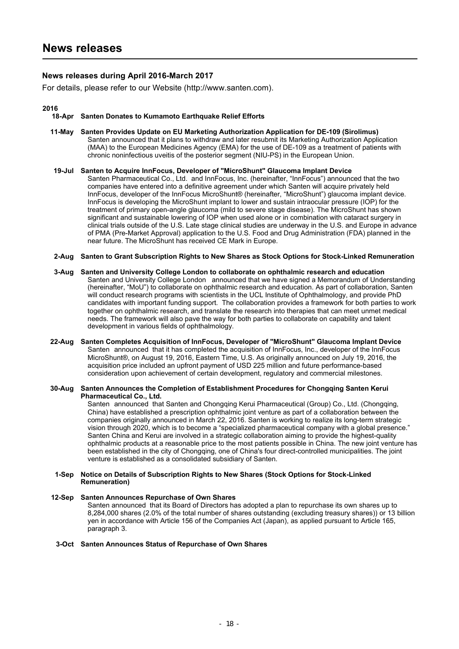### **News releases during April 2016-March 2017**

For details, please refer to our Website (http://www.santen.com).

#### **2016**

#### **18-Apr Santen Donates to Kumamoto Earthquake Relief Efforts**

- **11-May Santen Provides Update on EU Marketing Authorization Application for DE-109 (Sirolimus)** Santen announced that it plans to withdraw and later resubmit its Marketing Authorization Application (MAA) to the European Medicines Agency (EMA) for the use of DE-109 as a treatment of patients with chronic noninfectious uveitis of the posterior segment (NIU-PS) in the European Union.
- **19-Jul Santen to Acquire InnFocus, Developer of "MicroShunt" Glaucoma Implant Device** Santen Pharmaceutical Co., Ltd. and InnFocus, Inc. (hereinafter, "InnFocus") announced that the two companies have entered into a definitive agreement under which Santen will acquire privately held InnFocus, developer of the InnFocus MicroShunt® (hereinafter, "MicroShunt") glaucoma implant device. InnFocus is developing the MicroShunt implant to lower and sustain intraocular pressure (IOP) for the treatment of primary open-angle glaucoma (mild to severe stage disease). The MicroShunt has shown significant and sustainable lowering of IOP when used alone or in combination with cataract surgery in clinical trials outside of the U.S. Late stage clinical studies are underway in the U.S. and Europe in advance of PMA (Pre-Market Approval) application to the U.S. Food and Drug Administration (FDA) planned in the near future. The MicroShunt has received CE Mark in Europe.
- **2-Aug Santen to Grant Subscription Rights to New Shares as Stock Options for Stock-Linked Remuneration**
- **3-Aug Santen and University College London to collaborate on ophthalmic research and education** Santen and University College London announced that we have signed a Memorandum of Understanding (hereinafter, "MoU") to collaborate on ophthalmic research and education. As part of collaboration, Santen will conduct research programs with scientists in the UCL Institute of Ophthalmology, and provide PhD candidates with important funding support. The collaboration provides a framework for both parties to work together on ophthalmic research, and translate the research into therapies that can meet unmet medical needs. The framework will also pave the way for both parties to collaborate on capability and talent development in various fields of ophthalmology.
- **22-Aug Santen Completes Acquisition of InnFocus, Developer of "MicroShunt" Glaucoma Implant Device** Santen announced that it has completed the acquisition of InnFocus, Inc., developer of the InnFocus MicroShunt®, on August 19, 2016, Eastern Time, U.S. As originally announced on July 19, 2016, the acquisition price included an upfront payment of USD 225 million and future performance-based consideration upon achievement of certain development, regulatory and commercial milestones.
- **30-Aug Santen Announces the Completion of Establishment Procedures for Chongqing Santen Kerui Pharmaceutical Co., Ltd.**

Santen announced that Santen and Chongqing Kerui Pharmaceutical (Group) Co., Ltd. (Chongqing, China) have established a prescription ophthalmic joint venture as part of a collaboration between the companies originally announced in March 22, 2016. Santen is working to realize its long-term strategic vision through 2020, which is to become a "specialized pharmaceutical company with a global presence." Santen China and Kerui are involved in a strategic collaboration aiming to provide the highest-quality ophthalmic products at a reasonable price to the most patients possible in China. The new joint venture has been established in the city of Chongqing, one of China's four direct-controlled municipalities. The joint venture is established as a consolidated subsidiary of Santen.

#### **1-Sep Notice on Details of Subscription Rights to New Shares (Stock Options for Stock-Linked Remuneration)**

#### **12-Sep Santen Announces Repurchase of Own Shares**

Santen announced that its Board of Directors has adopted a plan to repurchase its own shares up to 8,284,000 shares (2.0% of the total number of shares outstanding (excluding treasury shares)) or 13 billion yen in accordance with Article 156 of the Companies Act (Japan), as applied pursuant to Article 165, paragraph 3.

#### **3-Oct Santen Announces Status of Repurchase of Own Shares**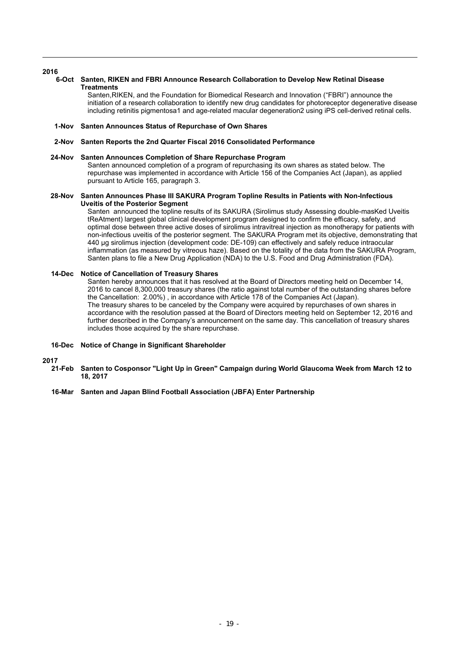#### **2016**

#### **6-Oct Santen, RIKEN and FBRI Announce Research Collaboration to Develop New Retinal Disease Treatments**

Santen,RIKEN, and the Foundation for Biomedical Research and Innovation ("FBRI") announce the initiation of a research collaboration to identify new drug candidates for photoreceptor degenerative disease including retinitis pigmentosa1 and age-related macular degeneration2 using iPS cell-derived retinal cells.

#### **1-Nov Santen Announces Status of Repurchase of Own Shares**

#### **2-Nov Santen Reports the 2nd Quarter Fiscal 2016 Consolidated Performance**

#### **24-Nov Santen Announces Completion of Share Repurchase Program**

Santen announced completion of a program of repurchasing its own shares as stated below. The repurchase was implemented in accordance with Article 156 of the Companies Act (Japan), as applied pursuant to Article 165, paragraph 3.

#### **28-Nov Santen Announces Phase III SAKURA Program Topline Results in Patients with Non-Infectious Uveitis of the Posterior Segment**

Santen announced the topline results of its SAKURA (Sirolimus study Assessing double-masKed Uveitis tReAtment) largest global clinical development program designed to confirm the efficacy, safety, and optimal dose between three active doses of sirolimus intravitreal injection as monotherapy for patients with non-infectious uveitis of the posterior segment. The SAKURA Program met its objective, demonstrating that 440 ug sirolimus injection (development code: DE-109) can effectively and safely reduce intraocular inflammation (as measured by vitreous haze). Based on the totality of the data from the SAKURA Program, Santen plans to file a New Drug Application (NDA) to the U.S. Food and Drug Administration (FDA).

#### **14-Dec Notice of Cancellation of Treasury Shares**

Santen hereby announces that it has resolved at the Board of Directors meeting held on December 14, 2016 to cancel 8,300,000 treasury shares (the ratio against total number of the outstanding shares before the Cancellation: 2.00%) , in accordance with Article 178 of the Companies Act (Japan). The treasury shares to be canceled by the Company were acquired by repurchases of own shares in accordance with the resolution passed at the Board of Directors meeting held on September 12, 2016 and further described in the Company's announcement on the same day. This cancellation of treasury shares includes those acquired by the share repurchase.

#### **16-Dec Notice of Change in Significant Shareholder**

- **2017 21-Feb Santen to Cosponsor "Light Up in Green" Campaign during World Glaucoma Week from March 12 to 18, 2017**
	- **16-Mar Santen and Japan Blind Football Association (JBFA) Enter Partnership**